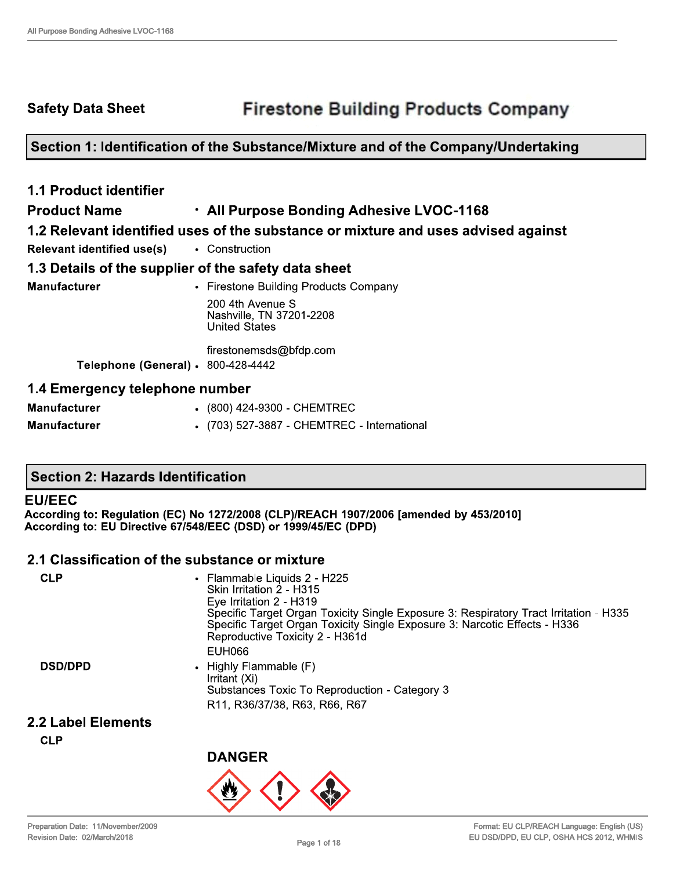**Safety Data Sheet** 

# Section 1: Identification of the Substance/Mixture and of the Company/Undertaking

| <b>1.1 Product identifier</b>                        |                                                                                   |
|------------------------------------------------------|-----------------------------------------------------------------------------------|
| <b>Product Name</b>                                  | . All Purpose Bonding Adhesive LVOC-1168                                          |
|                                                      | 1.2 Relevant identified uses of the substance or mixture and uses advised against |
| <b>Relevant identified use(s)</b>                    | • Construction                                                                    |
| 1.3 Details of the supplier of the safety data sheet |                                                                                   |
| <b>Manufacturer</b>                                  | • Firestone Building Products Company                                             |
|                                                      | 200 4th Avenue S<br>Nashville, TN 37201-2208<br><b>United States</b>              |
|                                                      | firestonemsds@bfdp.com                                                            |
| <b>Telephone (General) · 800-428-4442</b>            |                                                                                   |
| 1.4 Emergency telephone number                       |                                                                                   |
| <b>Manufacturer</b>                                  | (800) 424-9300 - CHEMTREC                                                         |
| <b>Manufacturer</b>                                  | • (703) 527-3887 - CHEMTREC - International                                       |

# **Section 2: Hazards Identification**

#### **EU/EEC**

According to: Regulation (EC) No 1272/2008 (CLP)/REACH 1907/2006 [amended by 453/2010] According to: EU Directive 67/548/EEC (DSD) or 1999/45/EC (DPD)

#### 2.1 Classification of the substance or mixture

| <b>CLP</b>     | • Flammable Liquids 2 - H225<br>Skin Irritation 2 - H315<br>Eye Irritation 2 - H319<br>Specific Target Organ Toxicity Single Exposure 3: Respiratory Tract Irritation - H335<br>Specific Target Organ Toxicity Single Exposure 3: Narcotic Effects - H336<br>Reproductive Toxicity 2 - H361d<br>EUH066 |
|----------------|--------------------------------------------------------------------------------------------------------------------------------------------------------------------------------------------------------------------------------------------------------------------------------------------------------|
| <b>DSD/DPD</b> | • Highly Flammable (F)<br>Irritant (Xi)<br>Substances Toxic To Reproduction - Category 3<br>R <sub>11</sub> , R <sub>36</sub> /37/38, R <sub>63</sub> , R <sub>66</sub> , R <sub>67</sub>                                                                                                              |

### 2.2 Label Elements

**CLP** 

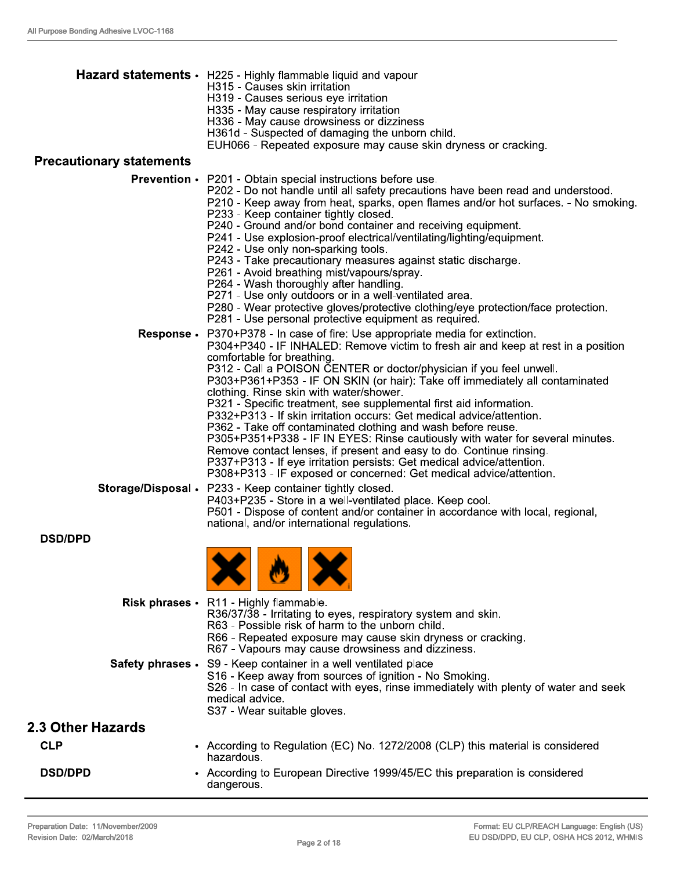|                                 | Hazard statements · H225 - Highly flammable liquid and vapour<br>H315 - Causes skin irritation<br>H319 - Causes serious eye irritation<br>H335 - May cause respiratory irritation<br>H336 - May cause drowsiness or dizziness<br>H361d - Suspected of damaging the unborn child.<br>EUH066 - Repeated exposure may cause skin dryness or cracking.                                                                                                                                                                                                                                                                                                                                                                                                                                                                                                                                                           |
|---------------------------------|--------------------------------------------------------------------------------------------------------------------------------------------------------------------------------------------------------------------------------------------------------------------------------------------------------------------------------------------------------------------------------------------------------------------------------------------------------------------------------------------------------------------------------------------------------------------------------------------------------------------------------------------------------------------------------------------------------------------------------------------------------------------------------------------------------------------------------------------------------------------------------------------------------------|
| <b>Precautionary statements</b> |                                                                                                                                                                                                                                                                                                                                                                                                                                                                                                                                                                                                                                                                                                                                                                                                                                                                                                              |
|                                 | <b>Prevention •</b> P201 - Obtain special instructions before use.<br>P202 - Do not handle until all safety precautions have been read and understood.<br>P210 - Keep away from heat, sparks, open flames and/or hot surfaces. - No smoking.<br>P233 - Keep container tightly closed.<br>P240 - Ground and/or bond container and receiving equipment.<br>P241 - Use explosion-proof electrical/ventilating/lighting/equipment.<br>P242 - Use only non-sparking tools.<br>P243 - Take precautionary measures against static discharge.<br>P261 - Avoid breathing mist/vapours/spray.<br>P264 - Wash thoroughly after handling.<br>P271 - Use only outdoors or in a well-ventilated area.<br>P280 - Wear protective gloves/protective clothing/eye protection/face protection.<br>P281 - Use personal protective equipment as required.                                                                        |
| <b>Response.</b>                | P370+P378 - In case of fire: Use appropriate media for extinction.<br>P304+P340 - IF INHALED: Remove victim to fresh air and keep at rest in a position<br>comfortable for breathing.<br>P312 - Call a POISON CENTER or doctor/physician if you feel unwell.<br>P303+P361+P353 - IF ON SKIN (or hair): Take off immediately all contaminated<br>clothing. Rinse skin with water/shower.<br>P321 - Specific treatment, see supplemental first aid information.<br>P332+P313 - If skin irritation occurs: Get medical advice/attention.<br>P362 - Take off contaminated clothing and wash before reuse.<br>P305+P351+P338 - IF IN EYES: Rinse cautiously with water for several minutes.<br>Remove contact lenses, if present and easy to do. Continue rinsing.<br>P337+P313 - If eye irritation persists: Get medical advice/attention.<br>P308+P313 - IF exposed or concerned: Get medical advice/attention. |
|                                 | Storage/Disposal . P233 - Keep container tightly closed.<br>P403+P235 - Store in a well-ventilated place. Keep cool.<br>P501 - Dispose of content and/or container in accordance with local, regional,<br>national, and/or international regulations.                                                                                                                                                                                                                                                                                                                                                                                                                                                                                                                                                                                                                                                        |
| <b>DSD/DPD</b>                  |                                                                                                                                                                                                                                                                                                                                                                                                                                                                                                                                                                                                                                                                                                                                                                                                                                                                                                              |
|                                 | <b>A A</b>                                                                                                                                                                                                                                                                                                                                                                                                                                                                                                                                                                                                                                                                                                                                                                                                                                                                                                   |
|                                 | Risk phrases · R11 - Highly flammable.<br>R36/37/38 - Irritating to eyes, respiratory system and skin.<br>R63 - Possible risk of harm to the unborn child.<br>R66 - Repeated exposure may cause skin dryness or cracking.<br>R67 - Vapours may cause drowsiness and dizziness.                                                                                                                                                                                                                                                                                                                                                                                                                                                                                                                                                                                                                               |
|                                 | Safety phrases • S9 - Keep container in a well ventilated place<br>S16 - Keep away from sources of ignition - No Smoking.<br>S26 - In case of contact with eyes, rinse immediately with plenty of water and seek<br>medical advice.<br>S37 - Wear suitable gloves.                                                                                                                                                                                                                                                                                                                                                                                                                                                                                                                                                                                                                                           |
| 2.3 Other Hazards               |                                                                                                                                                                                                                                                                                                                                                                                                                                                                                                                                                                                                                                                                                                                                                                                                                                                                                                              |
| <b>CLP</b>                      | • According to Regulation (EC) No. 1272/2008 (CLP) this material is considered<br>hazardous.                                                                                                                                                                                                                                                                                                                                                                                                                                                                                                                                                                                                                                                                                                                                                                                                                 |
| <b>DSD/DPD</b>                  | • According to European Directive 1999/45/EC this preparation is considered<br>dangerous.                                                                                                                                                                                                                                                                                                                                                                                                                                                                                                                                                                                                                                                                                                                                                                                                                    |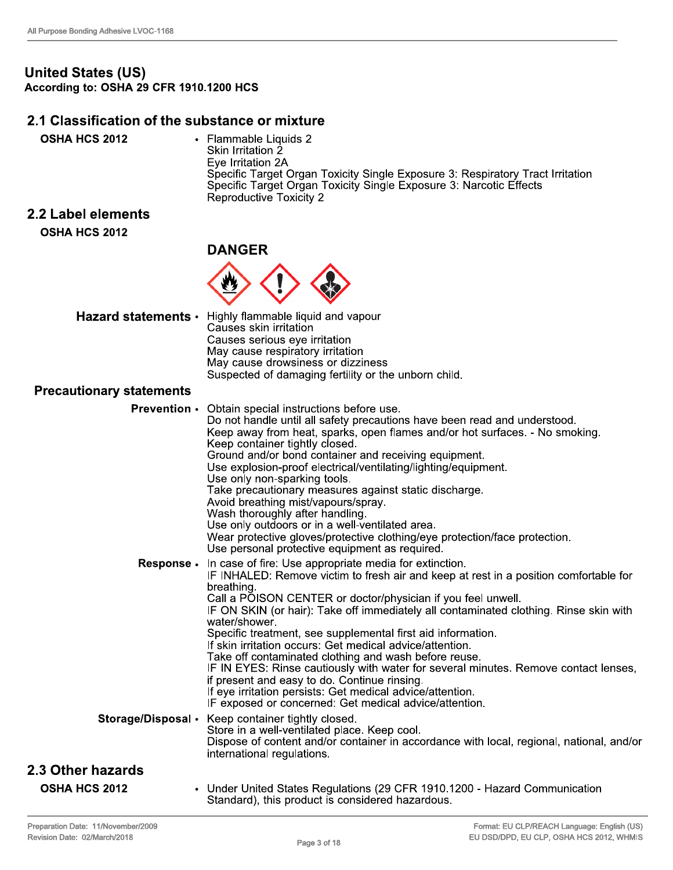7

# United States (US)<br>According to: OSHA 29 CFR 1910.1200 HCS

#### 2.1 Classification of the substance or mixture

| <b>OSHA HCS 2012</b> | • Flammable Liquids 2<br>Skin Irritation 2<br>Eye Irritation 2A<br>Specific Target Organ Toxicity Single Exposure 3: Respiratory Tract Irritation<br>Specific Target Organ Toxicity Single Exposure 3: Narcotic Effects<br>Reproductive Toxicity 2 |
|----------------------|----------------------------------------------------------------------------------------------------------------------------------------------------------------------------------------------------------------------------------------------------|
| 2.2 Label elements   |                                                                                                                                                                                                                                                    |
| <b>OSHA HCS 2012</b> |                                                                                                                                                                                                                                                    |

#### **DANGER**



|                                 | Hazard statements • Highly flammable liquid and vapour<br>Causes skin irritation                                                        |
|---------------------------------|-----------------------------------------------------------------------------------------------------------------------------------------|
|                                 | Causes serious eye irritation                                                                                                           |
|                                 | May cause respiratory irritation                                                                                                        |
|                                 | May cause drowsiness or dizziness                                                                                                       |
|                                 | Suspected of damaging fertility or the unborn child.                                                                                    |
| <b>Precautionary statements</b> |                                                                                                                                         |
|                                 | <b>Prevention •</b> Obtain special instructions before use.<br>De net handle until all octoby processions have been road and understood |

|                      | <b>Prevention</b> • Obtain special instructions before use.                                                                                  |
|----------------------|----------------------------------------------------------------------------------------------------------------------------------------------|
|                      | Do not handle until all safety precautions have been read and understood.                                                                    |
|                      | Keep away from heat, sparks, open flames and/or hot surfaces. - No smoking.                                                                  |
|                      | Keep container tightly closed.                                                                                                               |
|                      | Ground and/or bond container and receiving equipment.                                                                                        |
|                      | Use explosion-proof electrical/ventilating/lighting/equipment.                                                                               |
|                      | Use only non-sparking tools.                                                                                                                 |
|                      | Take precautionary measures against static discharge.                                                                                        |
|                      | Avoid breathing mist/vapours/spray.<br>Wash thoroughly after handling.                                                                       |
|                      | Use only outdoors or in a well-ventilated area.                                                                                              |
|                      | Wear protective gloves/protective clothing/eye protection/face protection.                                                                   |
|                      | Use personal protective equipment as required.                                                                                               |
| Response .           | In case of fire: Use appropriate media for extinction.                                                                                       |
|                      | IF INHALED: Remove victim to fresh air and keep at rest in a position comfortable for                                                        |
|                      | breathing.                                                                                                                                   |
|                      | Call a POISON CENTER or doctor/physician if you feel unwell.                                                                                 |
|                      | IF ON SKIN (or hair): Take off immediately all contaminated clothing. Rinse skin with                                                        |
|                      | water/shower.                                                                                                                                |
|                      | Specific treatment, see supplemental first aid information.                                                                                  |
|                      | If skin irritation occurs: Get medical advice/attention.                                                                                     |
|                      | Take off contaminated clothing and wash before reuse.<br>IF IN EYES: Rinse cautiously with water for several minutes. Remove contact lenses, |
|                      | if present and easy to do. Continue rinsing.                                                                                                 |
|                      | If eye irritation persists: Get medical advice/attention.                                                                                    |
|                      | IF exposed or concerned: Get medical advice/attention.                                                                                       |
| Storage/Disposal •   | Keep container tightly closed.                                                                                                               |
|                      | Store in a well-ventilated place. Keep cool.                                                                                                 |
|                      | Dispose of content and/or container in accordance with local, regional, national, and/or                                                     |
|                      | international regulations.                                                                                                                   |
| 2.3 Other hazards    |                                                                                                                                              |
| <b>OSHA HCS 2012</b> | • Under United States Regulations (29 CFR 1910.1200 - Hazard Communication                                                                   |
|                      | Standard), this product is considered hazardous.                                                                                             |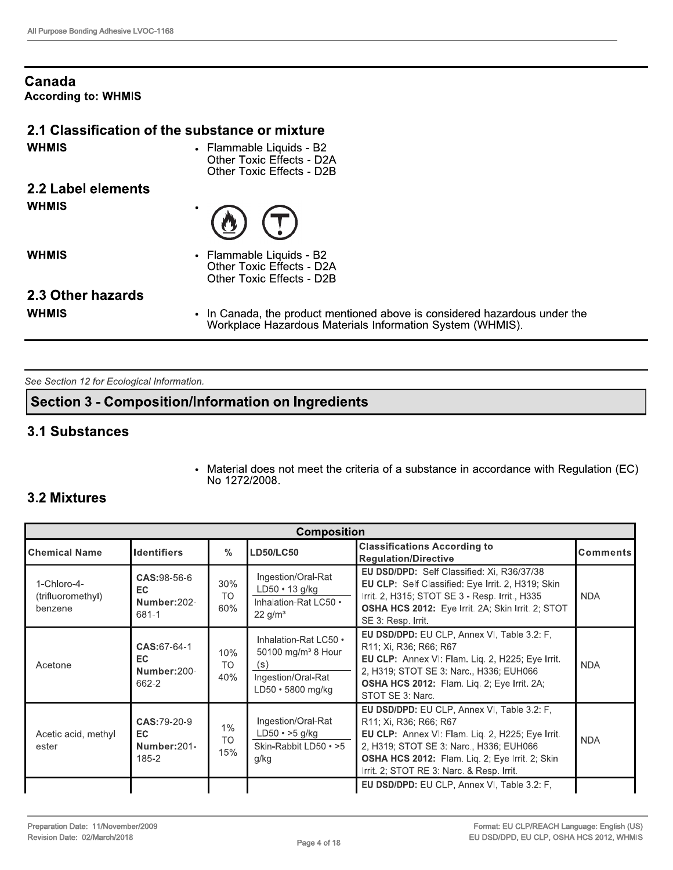#### Canada **According to: WHMIS**

#### 2.1 Classification of the substance or mixture

**WHMIS** 

• Flammable Liquids - B2 Other Toxic Effects - D2A Other Toxic Effects - D2B

#### 2.2 Label elements **WHMIS**



**WHMIS** 

Flammable Liquids - B2 Other Toxic Effects - D2A Other Toxic Effects - D2B

### 2.3 Other hazards

**WHMIS** 

In Canada, the product mentioned above is considered hazardous under the  $\bullet$ Workplace Hazardous Materials Information System (WHMIS).

See Section 12 for Ecological Information.

### **Section 3 - Composition/Information on Ingredients**

#### **3.1 Substances**

 $\bullet$ Material does not meet the criteria of a substance in accordance with Regulation (EC) No 1272/2008.

# **3.2 Mixtures**

| <b>Composition</b>                          |                                             |                         |                                                                                                           |                                                                                                                                                                                                                                                                      |                 |
|---------------------------------------------|---------------------------------------------|-------------------------|-----------------------------------------------------------------------------------------------------------|----------------------------------------------------------------------------------------------------------------------------------------------------------------------------------------------------------------------------------------------------------------------|-----------------|
| lChemical Name                              | <b>Identifiers</b>                          | $\frac{0}{0}$           | <b>LD50/LC50</b>                                                                                          | <b>Classifications According to</b><br><b>Requlation/Directive</b>                                                                                                                                                                                                   | <b>Comments</b> |
| 1-Chloro-4-<br>(trifluoromethyl)<br>benzene | CAS: 98-56-6<br>EC.<br>Number:202-<br>681-1 | 30%<br>TO.<br>60%       | Ingestion/Oral-Rat<br>$LD50 \cdot 13$ g/kg<br>Inhalation-Rat LC50 •<br>$22 \text{ g/m}^3$                 | EU DSD/DPD: Self Classified: Xi, R36/37/38<br>EU CLP: Self Classified: Eye Irrit. 2, H319; Skin<br>Irrit. 2, H315; STOT SE 3 - Resp. Irrit., H335<br>OSHA HCS 2012: Eye Irrit. 2A; Skin Irrit. 2; STOT<br>SE 3: Resp. Irrit.                                         | <b>NDA</b>      |
| Acetone                                     | CAS:67-64-1<br>EC.<br>Number:200-<br>662-2  | 10%<br><b>TO</b><br>40% | Inhalation-Rat LC50 •<br>50100 mg/m <sup>3</sup> 8 Hour<br>(s)<br>Ingestion/Oral-Rat<br>LD50 · 5800 mg/kg | EU DSD/DPD: EU CLP, Annex VI, Table 3.2: F,<br>R11; Xi, R36; R66; R67<br>EU CLP: Annex VI: Flam. Liq. 2, H225; Eye Irrit.<br>2, H319; STOT SE 3: Narc., H336; EUH066<br>OSHA HCS 2012: Flam. Liq. 2; Eye Irrit. 2A;<br>STOT SE 3: Narc.                              | <b>NDA</b>      |
| Acetic acid, methyl<br>ester                | CAS:79-20-9<br>EC.<br>Number: 201-<br>185-2 | 1%<br><b>TO</b><br>15%  | Ingestion/Oral-Rat<br>$LD50 \rightarrow 5$ g/kg<br>Skin-Rabbit LD50 • >5<br>g/kg                          | EU DSD/DPD: EU CLP, Annex VI, Table 3.2: F,<br>R11; Xi, R36; R66; R67<br>EU CLP: Annex VI: Flam. Liq. 2, H225; Eye Irrit.<br>2, H319; STOT SE 3: Narc., H336; EUH066<br>OSHA HCS 2012: Flam. Liq. 2; Eye Irrit. 2; Skin<br>Irrit. 2; STOT RE 3: Narc. & Resp. Irrit. | <b>NDA</b>      |
|                                             |                                             |                         |                                                                                                           | EU DSD/DPD: EU CLP, Annex VI, Table 3.2: F,                                                                                                                                                                                                                          |                 |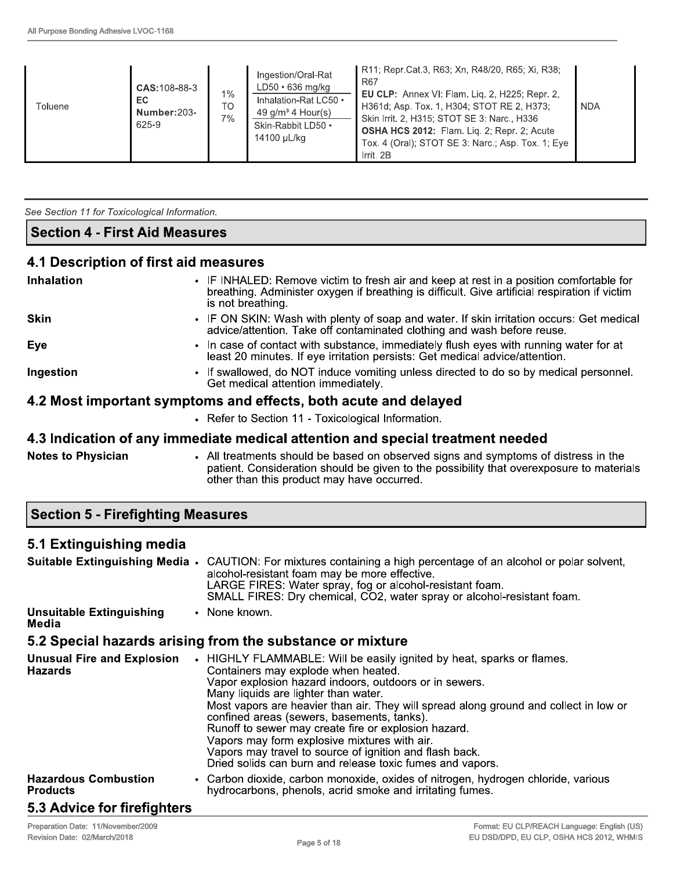| <b>Toluene</b> | CAS: 108-88-3<br>EC.<br>Number:203-<br>625-9 | $1\%$<br>TO<br>7% | Ingestion/Oral-Rat<br>LD50 · 636 mg/kg<br>Inhalation-Rat LC50 .<br>49 $g/m3$ 4 Hour(s)<br>Skin-Rabbit LD50 .<br>14100 µL/kg | R11; Repr.Cat.3, R63; Xn, R48/20, R65; Xi, R38;<br>R67<br><b>EU CLP:</b> Annex VI: Flam. Liq. 2, H225; Repr. 2,<br>H361d; Asp. Tox. 1, H304; STOT RE 2, H373;<br>Skin Irrit. 2, H315; STOT SE 3: Narc., H336<br><b>OSHA HCS 2012:</b> Flam. Lig. 2; Repr. 2; Acute<br>Tox. 4 (Oral); STOT SE 3: Narc.; Asp. Tox. 1; Eye  <br>Irrit, 2B | <b>NDA</b> |
|----------------|----------------------------------------------|-------------------|-----------------------------------------------------------------------------------------------------------------------------|----------------------------------------------------------------------------------------------------------------------------------------------------------------------------------------------------------------------------------------------------------------------------------------------------------------------------------------|------------|
|----------------|----------------------------------------------|-------------------|-----------------------------------------------------------------------------------------------------------------------------|----------------------------------------------------------------------------------------------------------------------------------------------------------------------------------------------------------------------------------------------------------------------------------------------------------------------------------------|------------|

See Section 11 for Toxicological Information.

#### **Section 4 - First Aid Measures**

#### 4.1 Description of first aid measures

| <b>Inhalation</b>                                               | • IF INHALED: Remove victim to fresh air and keep at rest in a position comfortable for<br>breathing. Administer oxygen if breathing is difficult. Give artificial respiration if victim<br>is not breathing. |  |
|-----------------------------------------------------------------|---------------------------------------------------------------------------------------------------------------------------------------------------------------------------------------------------------------|--|
| <b>Skin</b>                                                     | • IF ON SKIN: Wash with plenty of soap and water. If skin irritation occurs: Get medical<br>advice/attention. Take off contaminated clothing and wash before reuse.                                           |  |
| Eye                                                             | • In case of contact with substance, immediately flush eyes with running water for at<br>least 20 minutes. If eye irritation persists: Get medical advice/attention.                                          |  |
| Ingestion                                                       | • If swallowed, do NOT induce vomiting unless directed to do so by medical personnel.<br>Get medical attention immediately.                                                                                   |  |
| 4.2 Most important symptoms and effects, both acute and delayed |                                                                                                                                                                                                               |  |
|                                                                 | • Refer to Section 11 - Toxicological Information.                                                                                                                                                            |  |
|                                                                 | 4.3 Indication of any immediate medical attention and special treatment needed                                                                                                                                |  |

**Notes to Physician** • All treatments should be based on observed signs and symptoms of distress in the patient. Consideration should be given to the possibility that overexposure to materials other than this product may have occurred.

**Section 5 - Firefighting Measures** 

#### 5.1 Extinguishing media

|                                                     | Suitable Extinguishing Media • CAUTION: For mixtures containing a high percentage of an alcohol or polar solvent,<br>alcohol-resistant foam may be more effective.<br>LARGE FIRES: Water spray, fog or alcohol-resistant foam.<br>SMALL FIRES: Dry chemical, CO2, water spray or alcohol-resistant foam.                                                                                                                                                                                                                                                                              |
|-----------------------------------------------------|---------------------------------------------------------------------------------------------------------------------------------------------------------------------------------------------------------------------------------------------------------------------------------------------------------------------------------------------------------------------------------------------------------------------------------------------------------------------------------------------------------------------------------------------------------------------------------------|
| <b>Unsuitable Extinguishing</b><br>Media            | • None known.                                                                                                                                                                                                                                                                                                                                                                                                                                                                                                                                                                         |
|                                                     | 5.2 Special hazards arising from the substance or mixture                                                                                                                                                                                                                                                                                                                                                                                                                                                                                                                             |
| <b>Unusual Fire and Explosion</b><br><b>Hazards</b> | • HIGHLY FLAMMABLE: Will be easily ignited by heat, sparks or flames.<br>Containers may explode when heated.<br>Vapor explosion hazard indoors, outdoors or in sewers.<br>Many liquids are lighter than water.<br>Most vapors are heavier than air. They will spread along ground and collect in low or<br>confined areas (sewers, basements, tanks).<br>Runoff to sewer may create fire or explosion hazard.<br>Vapors may form explosive mixtures with air.<br>Vapors may travel to source of ignition and flash back.<br>Dried solids can burn and release toxic fumes and vapors. |
| <b>Hazardous Combustion</b><br><b>Products</b>      | • Carbon dioxide, carbon monoxide, oxides of nitrogen, hydrogen chloride, various<br>hydrocarbons, phenols, acrid smoke and irritating fumes.                                                                                                                                                                                                                                                                                                                                                                                                                                         |
| 5.3 Advice for firefighters                         |                                                                                                                                                                                                                                                                                                                                                                                                                                                                                                                                                                                       |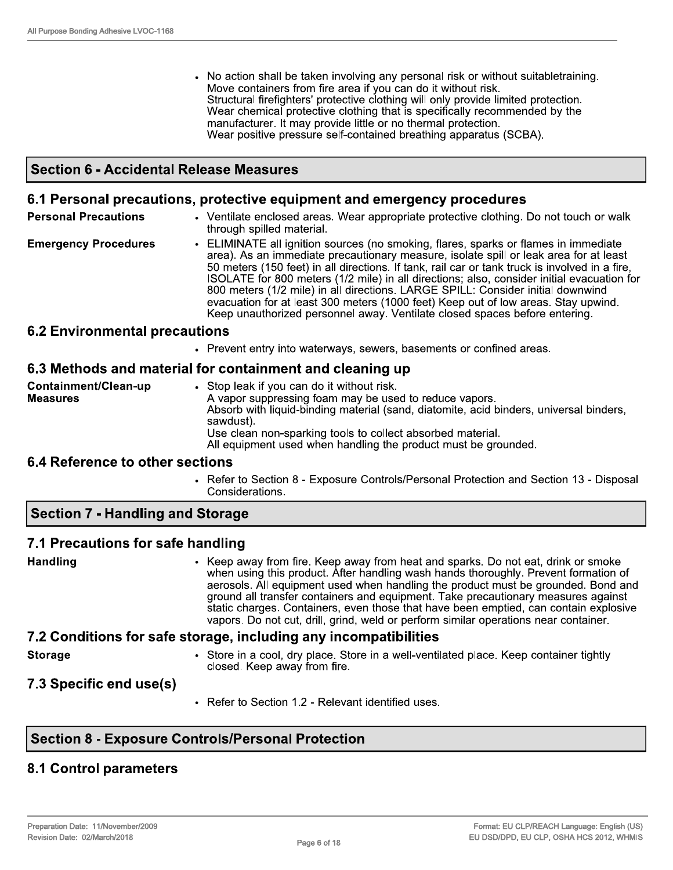• No action shall be taken involving any personal risk or without suitabletraining. Move containers from fire area if you can do it without risk. Structural firefighters' protective clothing will only provide limited protection. Wear chemical protective clothing that is specifically recommended by the manufacturer. It may provide little or no thermal protection. Wear positive pressure self-contained breathing apparatus (SCBA).

#### **Section 6 - Accidental Release Measures**

#### 6.1 Personal precautions, protective equipment and emergency procedures

| <b>Personal Precautions</b> | • Ventilate enclosed areas. Wear appropriate protective clothing. Do not touch or walk<br>through spilled material.                                                                                                                                                                                                                                                                                                                                                                                                                                                                                                                 |
|-----------------------------|-------------------------------------------------------------------------------------------------------------------------------------------------------------------------------------------------------------------------------------------------------------------------------------------------------------------------------------------------------------------------------------------------------------------------------------------------------------------------------------------------------------------------------------------------------------------------------------------------------------------------------------|
| <b>Emergency Procedures</b> | • ELIMINATE all ignition sources (no smoking, flares, sparks or flames in immediate<br>area). As an immediate precautionary measure, isolate spill or leak area for at least<br>50 meters (150 feet) in all directions. If tank, rail car or tank truck is involved in a fire,<br>ISOLATE for 800 meters (1/2 mile) in all directions; also, consider initial evacuation for<br>800 meters (1/2 mile) in all directions. LARGE SPILL: Consider initial downwind<br>evacuation for at least 300 meters (1000 feet) Keep out of low areas. Stay upwind.<br>Keep unauthorized personnel away. Ventilate closed spaces before entering. |

#### **6.2 Environmental precautions**

• Prevent entry into waterways, sewers, basements or confined areas.

#### 6.3 Methods and material for containment and cleaning up

| Containment/Clean-up | • Stop leak if you can do it without risk.                                                                                   |
|----------------------|------------------------------------------------------------------------------------------------------------------------------|
| <b>Measures</b>      | A vapor suppressing foam may be used to reduce vapors.                                                                       |
|                      | Absorb with liquid-binding material (sand, diatomite, acid binders, universal binders,<br>sawdust).                          |
|                      | Use clean non-sparking tools to collect absorbed material.<br>All equipment used when handling the product must be grounded. |

#### 6.4 Reference to other sections

• Refer to Section 8 - Exposure Controls/Personal Protection and Section 13 - Disposal Considerations.

#### **Section 7 - Handling and Storage**

#### 7.1 Precautions for safe handling

**Handling** 

Keep away from fire. Keep away from heat and sparks. Do not eat, drink or smoke when using this product. After handling wash hands thoroughly. Prevent formation of aerosols. All equipment used when handling the product must be grounded. Bond and ground all transfer containers and equipment. Take precautionary measures against static charges. Containers, even those that have been emptied, can contain explosive vapors. Do not cut, drill, grind, weld or perform similar operations near container.

#### 7.2 Conditions for safe storage, including any incompatibilities

**Storage** 

- Store in a cool, dry place. Store in a well-ventilated place. Keep container tightly closed. Keep away from fire.
- 7.3 Specific end use(s)
- Refer to Section 1.2 Relevant identified uses.

# **Section 8 - Exposure Controls/Personal Protection**

#### **8.1 Control parameters**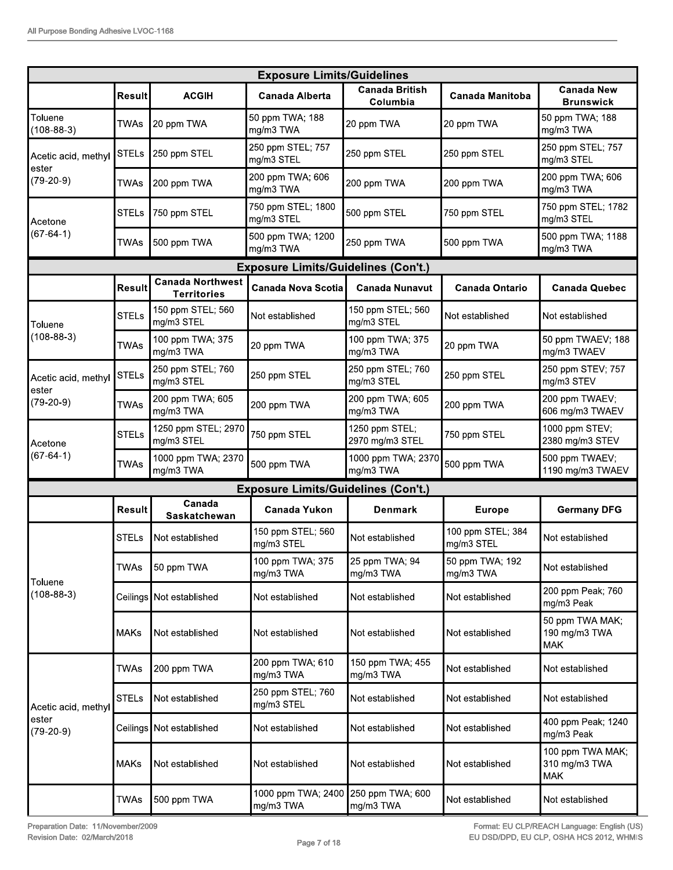|                                                        |               |                                               | <b>Exposure Limits/Guidelines</b>          |                                   |                                 |                                                                       |
|--------------------------------------------------------|---------------|-----------------------------------------------|--------------------------------------------|-----------------------------------|---------------------------------|-----------------------------------------------------------------------|
|                                                        | Result        | <b>ACGIH</b>                                  | <b>Canada Alberta</b>                      | <b>Canada British</b><br>Columbia | <b>Canada Manitoba</b>          | <b>Canada New</b><br><b>Brunswick</b>                                 |
| Toluene<br>$(108-88-3)$                                | TWAs          | 20 ppm TWA                                    | 50 ppm TWA; 188<br>mg/m3 TWA               | 20 ppm TWA                        | 20 ppm TWA                      | 50 ppm TWA; 188<br>mg/m3 TWA                                          |
| Acetic acid, methyl                                    | <b>STELs</b>  | 250 ppm STEL                                  | 250 ppm STEL; 757<br>mg/m3 STEL            | 250 ppm STEL                      | 250 ppm STEL                    | 250 ppm STEL; 757<br>mg/m3 STEL                                       |
| ester<br>$(79-20-9)$                                   | TWAs          | 200 ppm TWA                                   | 200 ppm TWA; 606<br>mg/m3 TWA              | 200 ppm TWA                       | 200 ppm TWA                     | 200 ppm TWA; 606<br>mg/m3 TWA                                         |
| Acetone                                                | <b>STELs</b>  | 750 ppm STEL                                  | 750 ppm STEL; 1800<br>mg/m3 STEL           | 500 ppm STEL                      | 750 ppm STEL                    | 750 ppm STEL; 1782<br>mg/m3 STEL                                      |
| $(67-64-1)$                                            | TWAs          | 500 ppm TWA                                   | 500 ppm TWA; 1200<br>mg/m3 TWA             | 250 ppm TWA                       | 500 ppm TWA                     | 500 ppm TWA; 1188<br>mg/m3 TWA                                        |
|                                                        |               |                                               | <b>Exposure Limits/Guidelines (Con't.)</b> |                                   |                                 |                                                                       |
|                                                        | <b>Result</b> | <b>Canada Northwest</b><br><b>Territories</b> | <b>Canada Nova Scotia</b>                  | <b>Canada Nunavut</b>             | <b>Canada Ontario</b>           | <b>Canada Quebec</b>                                                  |
| Toluene                                                | <b>STELs</b>  | 150 ppm STEL; 560<br>mg/m3 STEL               | Not established                            | 150 ppm STEL; 560<br>mg/m3 STEL   | Not established                 | Not established                                                       |
| $(108-88-3)$                                           | <b>TWAs</b>   | 100 ppm TWA; 375<br>mg/m3 TWA                 | 20 ppm TWA                                 | 100 ppm TWA; 375<br>mg/m3 TWA     | 20 ppm TWA                      | 50 ppm TWAEV; 188<br>mg/m3 TWAEV                                      |
| Acetic acid, methyl                                    | <b>STELs</b>  | 250 ppm STEL; 760<br>mg/m3 STEL               | 250 ppm STEL                               | 250 ppm STEL; 760<br>mg/m3 STEL   | 250 ppm STEL                    | 250 ppm STEV; 757<br>mg/m3 STEV                                       |
| ester<br>$(79-20-9)$                                   | <b>TWAs</b>   | 200 ppm TWA; 605<br>mg/m3 TWA                 | 200 ppm TWA                                | 200 ppm TWA; 605<br>mg/m3 TWA     | 200 ppm TWA                     | 200 ppm TWAEV;<br>606 mg/m3 TWAEV                                     |
| Acetone                                                | <b>STELs</b>  | 1250 ppm STEL; 2970<br>mg/m3 STEL             | 750 ppm STEL                               | 1250 ppm STEL;<br>2970 mg/m3 STEL | 750 ppm STEL                    | 1000 ppm STEV;<br>2380 mg/m3 STEV                                     |
| $(67-64-1)$                                            | <b>TWAs</b>   | 1000 ppm TWA; 2370<br>mg/m3 TWA               | 500 ppm TWA                                | 1000 ppm TWA; 2370<br>mg/m3 TWA   | 500 ppm TWA                     | 500 ppm TWAEV;<br>1190 mg/m3 TWAEV                                    |
|                                                        |               |                                               | <b>Exposure Limits/Guidelines (Con't.)</b> |                                   |                                 |                                                                       |
|                                                        |               | Canada                                        |                                            | <b>Denmark</b>                    | <b>Europe</b>                   | <b>Germany DFG</b>                                                    |
|                                                        | Result        | Saskatchewan                                  | <b>Canada Yukon</b>                        |                                   |                                 |                                                                       |
|                                                        | <b>STELs</b>  | Not established                               | 150 ppm STEL; 560<br>mg/m3 STEL            | Not established                   | 100 ppm STEL; 384<br>mg/m3 STEL | Not established                                                       |
|                                                        | TWAs          | 50 ppm TWA                                    | 100 ppm TWA; 375<br>mg/m3 TWA              | 25 ppm TWA; 94<br>mg/m3 TWA       | 50 ppm TWA; 192<br>mg/m3 TWA    | Not established                                                       |
| $(108-88-3)$                                           |               | Ceilings Not established                      | Not established                            | Not established                   | Not established                 | 200 ppm Peak; 760<br>mg/m3 Peak                                       |
|                                                        | <b>MAKs</b>   | Not established                               | Not established                            | Not established                   | Not established                 | 50 ppm TWA MAK;<br>190 mg/m3 TWA<br><b>MAK</b>                        |
|                                                        | TWAs          | 200 ppm TWA                                   | 200 ppm TWA; 610<br>mg/m3 TWA              | 150 ppm TWA; 455<br>mg/m3 TWA     | Not established                 | Not established                                                       |
|                                                        | <b>STELs</b>  | Not established                               | 250 ppm STEL; 760<br>mg/m3 STEL            | Not established                   | Not established                 | Not established                                                       |
|                                                        |               | Ceilings   Not established                    | Not established                            | Not established                   | Not established                 | mg/m3 Peak                                                            |
| Toluene<br>Acetic acid, methyl<br>ester<br>$(79-20-9)$ | MAKs          | Not established                               | Not established                            | Not established                   | Not established                 | 400 ppm Peak; 1240<br>100 ppm TWA MAK;<br>310 mg/m3 TWA<br><b>MAK</b> |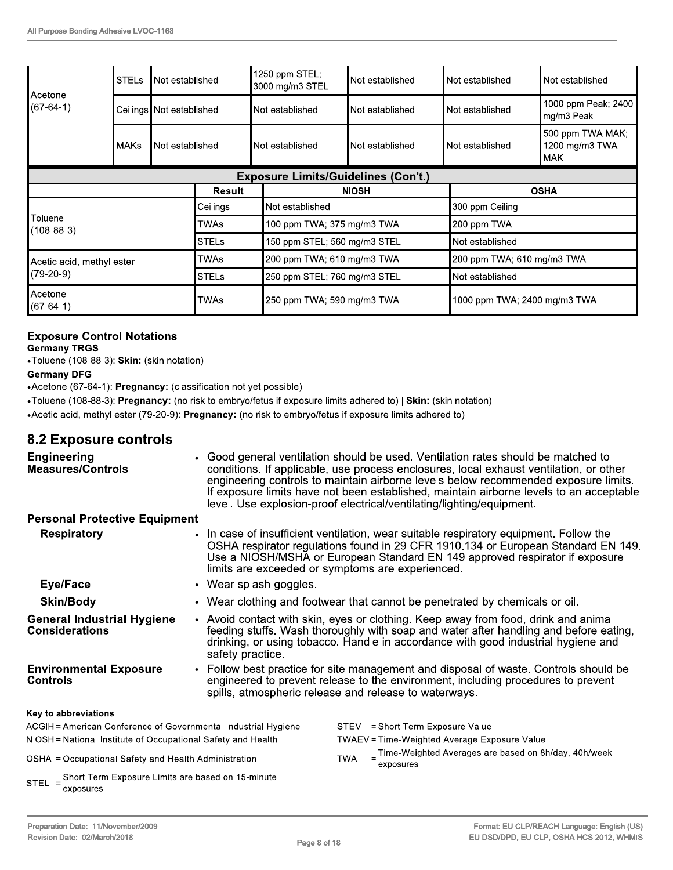| ∥Acetone<br>$(67-64-1)$   | <b>STELs</b>                   | Not established            |                                              | 1250 ppm STEL;<br>3000 mg/m3 STEL          | Not established              | Not established | Not established                                  |  |
|---------------------------|--------------------------------|----------------------------|----------------------------------------------|--------------------------------------------|------------------------------|-----------------|--------------------------------------------------|--|
|                           |                                | Ceilings   Not established |                                              | Not established                            | Not established              | Not established | 1000 ppm Peak; 2400<br>mg/m3 Peak                |  |
|                           | <b>MAKs</b><br>Not established |                            |                                              | Not established                            | Not established              | Not established | 500 ppm TWA MAK;<br>1200 mg/m3 TWA<br><b>MAK</b> |  |
|                           |                                |                            |                                              | <b>Exposure Limits/Guidelines (Con't.)</b> |                              |                 |                                                  |  |
|                           |                                |                            | <b>Result</b>                                |                                            | <b>NIOSH</b>                 |                 | <b>OSHA</b>                                      |  |
|                           |                                |                            | Ceilings                                     | Not established                            |                              |                 |                                                  |  |
| Toluene<br>(108-88-3)     |                                |                            | TWAs                                         |                                            | 100 ppm TWA; 375 mg/m3 TWA   |                 | 200 ppm TWA                                      |  |
|                           |                                |                            | <b>STELs</b><br>150 ppm STEL; 560 mg/m3 STEL |                                            |                              | Not established |                                                  |  |
| Acetic acid, methyl ester |                                |                            | TWAs                                         |                                            | 200 ppm TWA; 610 mg/m3 TWA   |                 | 200 ppm TWA; 610 mg/m3 TWA                       |  |
| (79-20-9)                 |                                |                            | <b>STELs</b>                                 |                                            | 250 ppm STEL; 760 mg/m3 STEL |                 | Not established                                  |  |
| Acetone<br>$(67-64-1)$    |                                | TWAs                       | 250 ppm TWA; 590 mg/m3 TWA                   |                                            | 1000 ppm TWA; 2400 mg/m3 TWA |                 |                                                  |  |

# **Exposure Control Notations**

**Germany TRGS** 

•Toluene (108-88-3): Skin: (skin notation)

#### **Germany DFG**

•Acetone (67-64-1): Pregnancy: (classification not yet possible)

•Toluene (108-88-3): Pregnancy: (no risk to embryo/fetus if exposure limits adhered to) | Skin: (skin notation)

• Acetic acid, methyl ester (79-20-9): Pregnancy: (no risk to embryo/fetus if exposure limits adhered to)

### **8.2 Exposure controls**

| <b>Engineering</b><br><b>Measures/Controls</b>                        |                        | • Good general ventilation should be used. Ventilation rates should be matched to<br>conditions. If applicable, use process enclosures, local exhaust ventilation, or other<br>engineering controls to maintain airborne levels below recommended exposure limits.<br>If exposure limits have not been established, maintain airborne levels to an acceptable<br>level. Use explosion-proof electrical/ventilating/lighting/equipment. |
|-----------------------------------------------------------------------|------------------------|----------------------------------------------------------------------------------------------------------------------------------------------------------------------------------------------------------------------------------------------------------------------------------------------------------------------------------------------------------------------------------------------------------------------------------------|
| <b>Personal Protective Equipment</b>                                  |                        |                                                                                                                                                                                                                                                                                                                                                                                                                                        |
| <b>Respiratory</b>                                                    |                        | • In case of insufficient ventilation, wear suitable respiratory equipment. Follow the<br>OSHA respirator regulations found in 29 CFR 1910.134 or European Standard EN 149.<br>Use a NIOSH/MSHA or European Standard EN 149 approved respirator if exposure<br>limits are exceeded or symptoms are experienced.                                                                                                                        |
| Eye/Face                                                              | • Wear splash goggles. |                                                                                                                                                                                                                                                                                                                                                                                                                                        |
| <b>Skin/Body</b>                                                      |                        | • Wear clothing and footwear that cannot be penetrated by chemicals or oil.                                                                                                                                                                                                                                                                                                                                                            |
| <b>General Industrial Hygiene</b><br><b>Considerations</b>            | safety practice.       | • Avoid contact with skin, eyes or clothing. Keep away from food, drink and animal<br>feeding stuffs. Wash thoroughly with soap and water after handling and before eating,<br>drinking, or using tobacco. Handle in accordance with good industrial hygiene and                                                                                                                                                                       |
| <b>Environmental Exposure</b><br><b>Controls</b>                      |                        | • Follow best practice for site management and disposal of waste. Controls should be<br>engineered to prevent release to the environment, including procedures to prevent<br>spills, atmospheric release and release to waterways.                                                                                                                                                                                                     |
| Key to abbreviations                                                  |                        |                                                                                                                                                                                                                                                                                                                                                                                                                                        |
| ACGIH = American Conference of Governmental Industrial Hygiene        |                        | = Short Term Exposure Value<br>STEV                                                                                                                                                                                                                                                                                                                                                                                                    |
| NIOSH = National Institute of Occupational Safety and Health          |                        | <b>TWAEV</b> = Time-Weighted Average Exposure Value                                                                                                                                                                                                                                                                                                                                                                                    |
| OSHA = Occupational Safety and Health Administration                  |                        | $=$ Time-Weighted Averages are based on 8h/day, 40h/week<br><b>TWA</b><br>exposures                                                                                                                                                                                                                                                                                                                                                    |
| STEL = Short Term Exposure Limits are based on 15-minute<br>exposures |                        |                                                                                                                                                                                                                                                                                                                                                                                                                                        |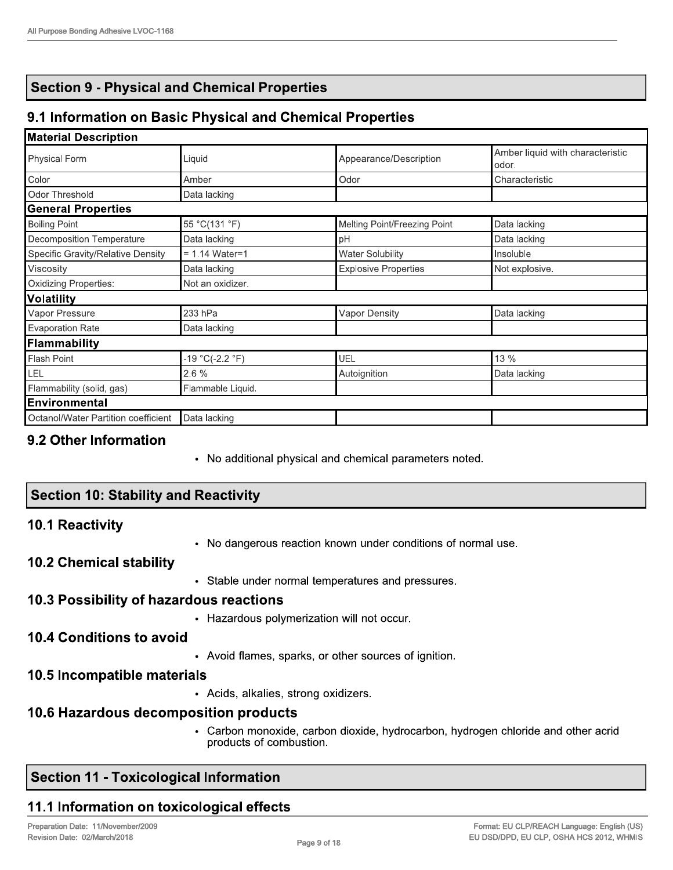# **Section 9 - Physical and Chemical Properties**

# 9.1 Information on Basic Physical and Chemical Properties

#### **Material Description**

| Physical Form                       | Liquid            | Appearance/Description       | Amber liquid with characteristic<br>odor. |  |
|-------------------------------------|-------------------|------------------------------|-------------------------------------------|--|
| Color                               | Amber             | Odor                         | Characteristic                            |  |
| Odor Threshold                      | Data lacking      |                              |                                           |  |
| <b>General Properties</b>           |                   |                              |                                           |  |
| Boiling Point                       | 55 °C(131 °F)     | Melting Point/Freezing Point | Data lacking                              |  |
| Decomposition Temperature           | Data lacking      | pH                           | Data lacking                              |  |
| Specific Gravity/Relative Density   | $= 1.14$ Water=1  | <b>Water Solubility</b>      | Insoluble                                 |  |
| Viscosity                           | Data lacking      | <b>Explosive Properties</b>  | Not explosive.                            |  |
| Oxidizing Properties:               | Not an oxidizer.  |                              |                                           |  |
| Volatility                          |                   |                              |                                           |  |
| Vapor Pressure                      | 233 hPa           | Vapor Density                | Data lacking                              |  |
| Evaporation Rate                    | Data lacking      |                              |                                           |  |
| Flammability                        |                   |                              |                                           |  |
| Flash Point                         | $-19 °C(-2.2 °F)$ | UEL                          | 13 %                                      |  |
| LEL                                 | 2.6 %             | Autoignition                 | Data lacking                              |  |
| Flammability (solid, gas)           | Flammable Liquid. |                              |                                           |  |
| Environmental                       |                   |                              |                                           |  |
| Octanol/Water Partition coefficient | Data lacking      |                              |                                           |  |

#### 9.2 Other Information

• No additional physical and chemical parameters noted.

| <b>Section 10: Stability and Reactivity</b>              |  |
|----------------------------------------------------------|--|
| $\overline{10110}$ $\overline{10110}$ $\overline{11110}$ |  |

#### 10.1 Reactivity

• No dangerous reaction known under conditions of normal use.

#### **10.2 Chemical stability**

• Stable under normal temperatures and pressures.

#### 10.3 Possibility of hazardous reactions

• Hazardous polymerization will not occur.

#### 10.4 Conditions to avoid

• Avoid flames, sparks, or other sources of ignition.

#### 10.5 Incompatible materials

• Acids, alkalies, strong oxidizers.

#### 10.6 Hazardous decomposition products

• Carbon monoxide, carbon dioxide, hydrocarbon, hydrogen chloride and other acrid products of combustion.

# **Section 11 - Toxicological Information**

# 11.1 Information on toxicological effects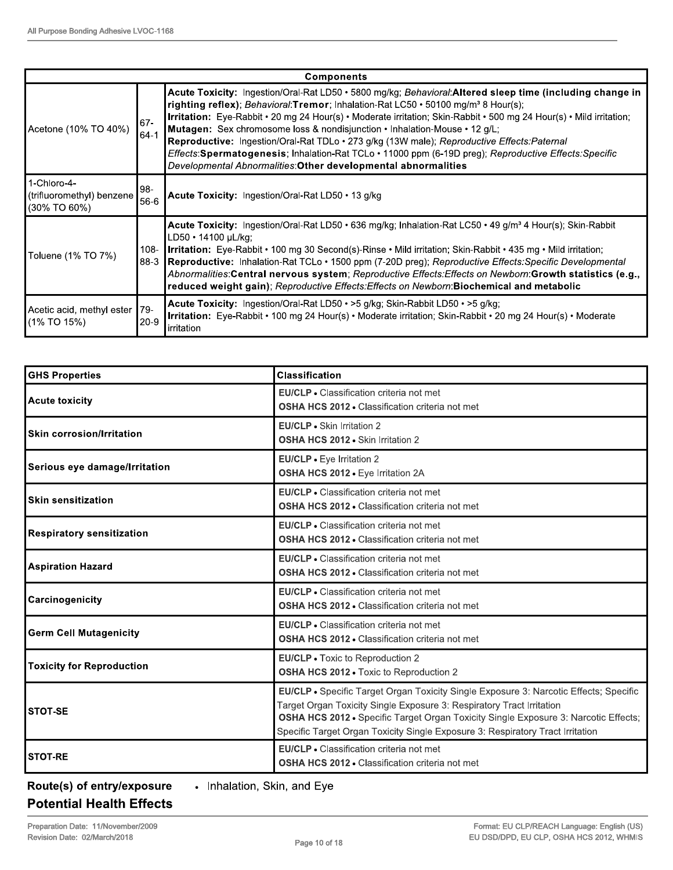|                                                          | <b>Components</b> |                                                                                                                                                                                                                                                                                                                                                                                                                                                                                                                                                                                                                                                                                             |  |  |  |  |
|----------------------------------------------------------|-------------------|---------------------------------------------------------------------------------------------------------------------------------------------------------------------------------------------------------------------------------------------------------------------------------------------------------------------------------------------------------------------------------------------------------------------------------------------------------------------------------------------------------------------------------------------------------------------------------------------------------------------------------------------------------------------------------------------|--|--|--|--|
| Acetone (10% TO 40%)                                     | 67-<br>$64-1$     | Acute Toxicity: Ingestion/Oral-Rat LD50 • 5800 mg/kg; Behavioral: Altered sleep time (including change in<br>righting reflex); Behavioral: Tremor; Inhalation-Rat LC50 · 50100 mg/m <sup>3</sup> 8 Hour(s);<br>Irritation: Eye-Rabbit • 20 mg 24 Hour(s) • Moderate irritation; Skin-Rabbit • 500 mg 24 Hour(s) • Mild irritation;<br>Mutagen: Sex chromosome loss & nondisjunction • Inhalation-Mouse • 12 g/L;<br>Reproductive: Ingestion/Oral-Rat TDLo · 273 g/kg (13W male); Reproductive Effects: Paternal<br>Effects: Spermatogenesis; Inhalation-Rat TCLo · 11000 ppm (6-19D preg); Reproductive Effects: Specific<br>Developmental Abnormalities: Other developmental abnormalities |  |  |  |  |
| 1-Chloro-4-<br>(trifluoromethyl) benzene<br>(30% TO 60%) | l98-<br>56-6      | Acute Toxicity: Ingestion/Oral-Rat LD50 · 13 g/kg                                                                                                                                                                                                                                                                                                                                                                                                                                                                                                                                                                                                                                           |  |  |  |  |
| Toluene (1% TO 7%)                                       | $108 -$<br>88-3   | Acute Toxicity: Ingestion/Oral-Rat LD50 · 636 mg/kg; Inhalation-Rat LC50 · 49 g/m <sup>3</sup> 4 Hour(s); Skin-Rabbit<br>LD50 · 14100 µL/kg;<br>Irritation: Eye-Rabbit • 100 mg 30 Second(s)-Rinse • Mild irritation; Skin-Rabbit • 435 mg • Mild irritation;<br>Reproductive: Inhalation-Rat TCLo · 1500 ppm (7-20D preg); Reproductive Effects: Specific Developmental<br>Abnormalities:Central nervous system; Reproductive Effects: Effects on Newborn:Growth statistics (e.g.,<br>reduced weight gain); Reproductive Effects: Effects on Newborn: Biochemical and metabolic                                                                                                            |  |  |  |  |
| Acetic acid, methyl ester 79-<br>(1% TO 15%)             | $20-9$            | Acute Toxicity: Ingestion/Oral-Rat LD50 • > 5 g/kg; Skin-Rabbit LD50 • > 5 g/kg;<br>Irritation: Eye-Rabbit • 100 mg 24 Hour(s) • Moderate irritation; Skin-Rabbit • 20 mg 24 Hour(s) • Moderate<br>irritation                                                                                                                                                                                                                                                                                                                                                                                                                                                                               |  |  |  |  |

| <b>GHS Properties</b>            | <b>Classification</b>                                                                                                                                                                                                                                                                                                                   |
|----------------------------------|-----------------------------------------------------------------------------------------------------------------------------------------------------------------------------------------------------------------------------------------------------------------------------------------------------------------------------------------|
| <b>Acute toxicity</b>            | <b>EU/CLP</b> • Classification criteria not met<br><b>OSHA HCS 2012 • Classification criteria not met</b>                                                                                                                                                                                                                               |
| Skin corrosion/Irritation        | EU/CLP • Skin Irritation 2<br>OSHA HCS 2012 . Skin Irritation 2                                                                                                                                                                                                                                                                         |
| Serious eye damage/Irritation    | EU/CLP - Eye Irritation 2<br>OSHA HCS 2012 - Eye Irritation 2A                                                                                                                                                                                                                                                                          |
| <b>Skin sensitization</b>        | EU/CLP • Classification criteria not met<br><b>OSHA HCS 2012 • Classification criteria not met</b>                                                                                                                                                                                                                                      |
| <b>Respiratory sensitization</b> | <b>EU/CLP</b> • Classification criteria not met<br><b>OSHA HCS 2012 • Classification criteria not met</b>                                                                                                                                                                                                                               |
| <b>Aspiration Hazard</b>         | EU/CLP • Classification criteria not met<br><b>OSHA HCS 2012 • Classification criteria not met</b>                                                                                                                                                                                                                                      |
| Carcinogenicity                  | EU/CLP • Classification criteria not met<br><b>OSHA HCS 2012 - Classification criteria not met</b>                                                                                                                                                                                                                                      |
| <b>Germ Cell Mutagenicity</b>    | EU/CLP · Classification criteria not met<br><b>OSHA HCS 2012 • Classification criteria not met</b>                                                                                                                                                                                                                                      |
| <b>Toxicity for Reproduction</b> | EU/CLP . Toxic to Reproduction 2<br><b>OSHA HCS 2012 - Toxic to Reproduction 2</b>                                                                                                                                                                                                                                                      |
| <b>STOT-SE</b>                   | EU/CLP • Specific Target Organ Toxicity Single Exposure 3: Narcotic Effects; Specific<br>Target Organ Toxicity Single Exposure 3: Respiratory Tract Irritation<br>OSHA HCS 2012 • Specific Target Organ Toxicity Single Exposure 3: Narcotic Effects;<br>Specific Target Organ Toxicity Single Exposure 3: Respiratory Tract Irritation |
| <b>STOT-RE</b>                   | EU/CLP • Classification criteria not met<br><b>OSHA HCS 2012 • Classification criteria not met</b>                                                                                                                                                                                                                                      |

Route(s) of entry/exposure

• Inhalation, Skin, and Eye

# **Potential Health Effects**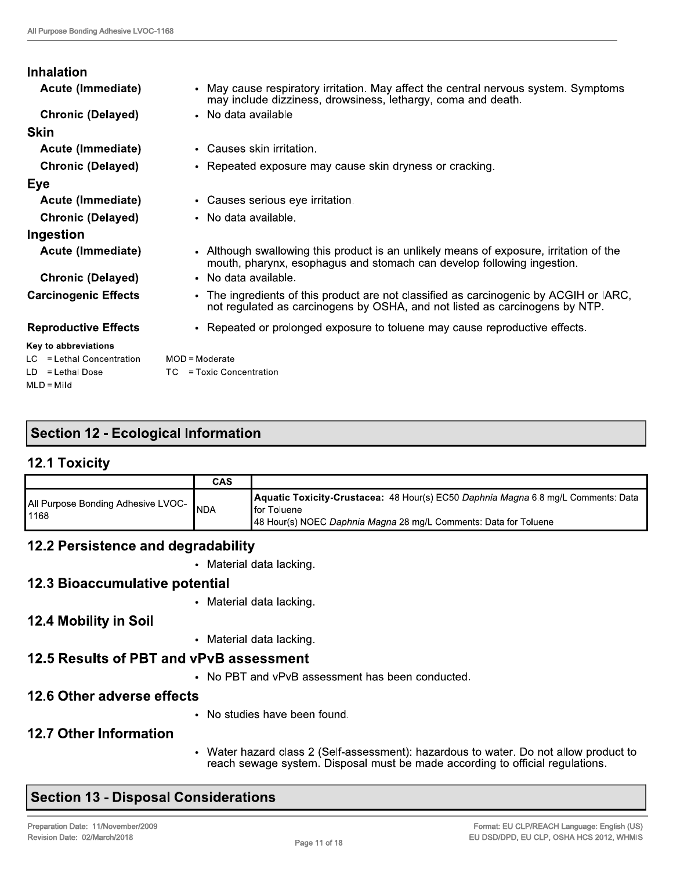| <b>Inhalation</b>                                 |                                                                                                                                                                       |
|---------------------------------------------------|-----------------------------------------------------------------------------------------------------------------------------------------------------------------------|
| Acute (Immediate)                                 | • May cause respiratory irritation. May affect the central nervous system. Symptoms<br>may include dizziness, drowsiness, lethargy, coma and death.                   |
| <b>Chronic (Delayed)</b>                          | • No data available                                                                                                                                                   |
| <b>Skin</b>                                       |                                                                                                                                                                       |
| Acute (Immediate)                                 | • Causes skin irritation.                                                                                                                                             |
| <b>Chronic (Delayed)</b>                          | • Repeated exposure may cause skin dryness or cracking.                                                                                                               |
| Eye                                               |                                                                                                                                                                       |
| <b>Acute (Immediate)</b>                          | • Causes serious eye irritation.                                                                                                                                      |
| <b>Chronic (Delayed)</b>                          | • No data available.                                                                                                                                                  |
| Ingestion                                         |                                                                                                                                                                       |
| Acute (Immediate)                                 | • Although swallowing this product is an unlikely means of exposure, irritation of the<br>mouth, pharynx, esophagus and stomach can develop following ingestion.      |
| <b>Chronic (Delayed)</b>                          | • No data available.                                                                                                                                                  |
| <b>Carcinogenic Effects</b>                       | • The ingredients of this product are not classified as carcinogenic by ACGIH or IARC,<br>not regulated as carcinogens by OSHA, and not listed as carcinogens by NTP. |
| <b>Reproductive Effects</b>                       | • Repeated or prolonged exposure to toluene may cause reproductive effects.                                                                                           |
| Key to abbreviations<br>LC = Lethal Concentration | $MOD = Model$ rate                                                                                                                                                    |
| $LD = Lethal Does$                                | TC = Toxic Concentration                                                                                                                                              |

# **Section 12 - Ecological Information**

#### **12.1 Toxicity**

 $MLD = Mil$ 

|                                              | CAS        |                                                                                                                                                                       |
|----------------------------------------------|------------|-----------------------------------------------------------------------------------------------------------------------------------------------------------------------|
| All Purpose Bonding Adhesive LVOC-<br>l 1168 | <b>NDA</b> | Aquatic Toxicity-Crustacea: 48 Hour(s) EC50 Daphnia Magna 6.8 mg/L Comments: Data<br>∎for Toluene<br>48 Hour(s) NOEC Daphnia Magna 28 mg/L Comments: Data for Toluene |

# 12.2 Persistence and degradability

• Material data lacking.

# 12.3 Bioaccumulative potential

• Material data lacking.

# 12.4 Mobility in Soil

• Material data lacking.

# 12.5 Results of PBT and vPvB assessment

• No PBT and vPvB assessment has been conducted.

# 12.6 Other adverse effects

• No studies have been found.

# **12.7 Other Information**

• Water hazard class 2 (Self-assessment): hazardous to water. Do not allow product to reach sewage system. Disposal must be made according to official regulations.

# **Section 13 - Disposal Considerations**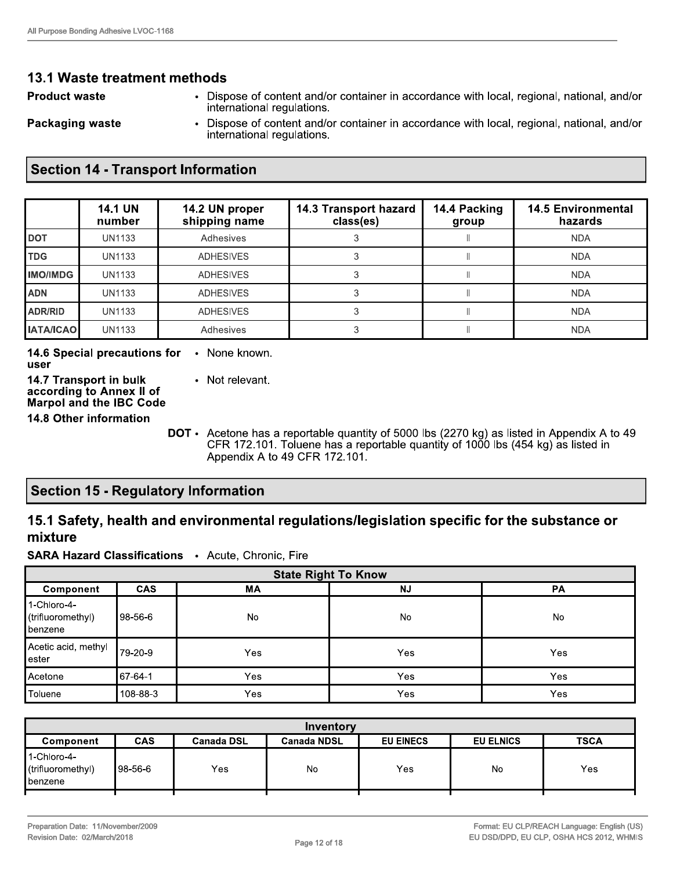#### 13.1 Waste treatment methods

**Product waste** 

• Dispose of content and/or container in accordance with local, regional, national, and/or international regulations.

**Packaging waste** 

Dispose of content and/or container in accordance with local, regional, national, and/or  $\bullet$ international regulations.

#### **Section 14 - Transport Information**

|                  | <b>14.1 UN</b><br>number | 14.2 UN proper<br>shipping name | 14.3 Transport hazard<br>class(es) | 14.4 Packing<br>group | <b>14.5 Environmental</b><br>hazards |
|------------------|--------------------------|---------------------------------|------------------------------------|-----------------------|--------------------------------------|
| <b>DOT</b>       | <b>UN1133</b>            | Adhesives                       |                                    |                       | <b>NDA</b>                           |
| <b>TDG</b>       | UN1133                   | <b>ADHESIVES</b>                |                                    |                       | <b>NDA</b>                           |
| <b>IIMO/IMDG</b> | <b>UN1133</b>            | <b>ADHESIVES</b>                |                                    |                       | <b>NDA</b>                           |
| ADN              | UN1133                   | <b>ADHESIVES</b>                |                                    |                       | <b>NDA</b>                           |
| ADR/RID          | <b>UN1133</b>            | <b>ADHESIVES</b>                |                                    |                       | <b>NDA</b>                           |
| <b>IATA/ICAO</b> | UN1133                   | Adhesives                       |                                    |                       | <b>NDA</b>                           |

14.6 Special precautions for • None known. user

14.7 Transport in bulk • Not relevant. according to Annex II of **Marpol and the IBC Code** 

**14.8 Other information** 

DOT • Acetone has a reportable quantity of 5000 lbs (2270 kg) as listed in Appendix A to 49 CFR 172.101. Toluene has a reportable quantity of 1000 lbs (454 kg) as listed in Appendix A to 49 CFR 172.101.

# **Section 15 - Regulatory Information**

#### 15.1 Safety, health and environmental regulations/legislation specific for the substance or mixture

**SARA Hazard Classifications • Acute, Chronic, Fire** 

| <b>State Right To Know</b>                           |            |           |           |           |  |  |
|------------------------------------------------------|------------|-----------|-----------|-----------|--|--|
| Component                                            | <b>CAS</b> | <b>MA</b> | <b>NJ</b> | <b>PA</b> |  |  |
| 1-Chloro-4-<br>(trifluoromethyl)<br><b>∥</b> benzene | 98-56-6    | No        | No        | <b>No</b> |  |  |
| Acetic acid, methyl<br>lester                        | 79-20-9    | Yes       | Yes       | Yes       |  |  |
| Acetone                                              | 67-64-1    | Yes       | Yes       | Yes       |  |  |
| Toluene                                              | 108-88-3   | Yes       | Yes       | Yes       |  |  |

| Inventory                                            |            |                   |                    |                  |                  |             |  |
|------------------------------------------------------|------------|-------------------|--------------------|------------------|------------------|-------------|--|
| Component                                            | <b>CAS</b> | <b>Canada DSL</b> | <b>Canada NDSL</b> | <b>EU EINECS</b> | <b>EU ELNICS</b> | <b>TSCA</b> |  |
| 1-Chloro-4-<br>(trifluoromethyl)<br><b>∥</b> benzene | 198-56-6   | Yes               | No                 | <b>Yes</b>       | No               | Yes         |  |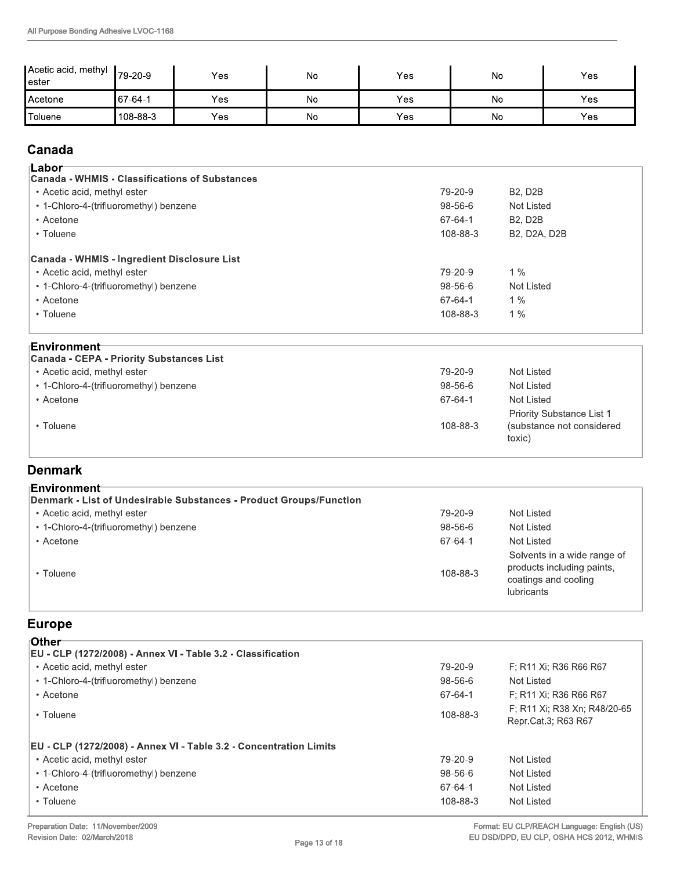| ∣Acetic acid, methyl<br>ester | Ⅰ79-20-9   | Yes | No | Yes | No | Yes |
|-------------------------------|------------|-----|----|-----|----|-----|
| Acetone                       | $ 67-64-1$ | Yes | No | Yes | No | Yes |
| Toluene                       | 1108-88-3  | Yes | No | Yes | No | Yes |

# Canada

| Acetone             | 67-64-1                                                                              | Yes        | <b>No</b> | Yes |          | No.               | Yes |
|---------------------|--------------------------------------------------------------------------------------|------------|-----------|-----|----------|-------------------|-----|
| Toluene             | 108-88-3                                                                             | <b>Yes</b> | No        | Yes |          | No                | Yes |
| Canada              |                                                                                      |            |           |     |          |                   |     |
| ⊺Labor <sup>.</sup> |                                                                                      |            |           |     |          |                   |     |
|                     | <b>Canada - WHMIS - Classifications of Substances</b><br>• Acetic acid, methyl ester |            |           |     | 79-20-9  | <b>B2, D2B</b>    |     |
|                     | • 1-Chloro-4-(trifluoromethyl) benzene                                               |            |           |     | 98-56-6  | <b>Not Listed</b> |     |
| • Acetone           |                                                                                      |            |           |     | 67-64-1  | <b>B2, D2B</b>    |     |
| • Toluene           |                                                                                      |            |           |     | 108-88-3 | B2, D2A, D2B      |     |
|                     | Canada - WHMIS - Ingredient Disclosure List                                          |            |           |     |          |                   |     |
|                     | • Acetic acid, methyl ester                                                          |            |           |     | 79-20-9  | $1\%$             |     |
|                     | • 1-Chloro-4-(trifluoromethyl) benzene                                               |            |           |     | 98-56-6  | Not Listed        |     |
| • Acetone           |                                                                                      |            |           |     | 67-64-1  | $1\%$             |     |
| • Toluene           |                                                                                      |            |           |     | 108-88-3 | $1\%$             |     |

| • Acetic acid, methyl ester                                           | 79-20-9  | $1\%$                     |
|-----------------------------------------------------------------------|----------|---------------------------|
| • 1-Chloro-4-(trifluoromethyl) benzene                                | 98-56-6  | Not Listed                |
| • Acetone                                                             | 67-64-1  | 1%                        |
| • Toluene                                                             | 108-88-3 | $1\%$                     |
| ⊧Environment<br><b>Canada - CEPA - Priority Substances List</b>       |          |                           |
|                                                                       |          |                           |
|                                                                       | 79-20-9  | Not Listed                |
| • Acetic acid, methyl ester<br>• 1-Chloro-4-(trifluoromethyl) benzene | 98-56-6  | Not Listed                |
| • Acetone                                                             | 67-64-1  | <b>Not Listed</b>         |
|                                                                       |          | Priority Substance List 1 |

# Denmark

| • Toluene                                                                          | 108-88-3 | Priority Substance List 1<br>(substance not considered<br>toxic)                                       |
|------------------------------------------------------------------------------------|----------|--------------------------------------------------------------------------------------------------------|
| <b>Denmark</b>                                                                     |          |                                                                                                        |
| ⊧Environment<br>Denmark - List of Undesirable Substances - Product Groups/Function |          |                                                                                                        |
| • Acetic acid, methyl ester                                                        | 79-20-9  | Not Listed                                                                                             |
| • 1-Chloro-4-(trifluoromethyl) benzene                                             | 98-56-6  | Not Listed                                                                                             |
| • Acetone                                                                          | 67-64-1  | Not Listed                                                                                             |
| • Toluene                                                                          | 108-88-3 | Solvents in a wide range of<br>products including paints,<br>coatings and cooling<br><b>lubricants</b> |

# Europe

| • Toluene                                                          | 108-88-3 | products including paints,<br>coatings and cooling<br><b>lubricants</b> |
|--------------------------------------------------------------------|----------|-------------------------------------------------------------------------|
| <b>Europe</b>                                                      |          |                                                                         |
| ⊺Other                                                             |          |                                                                         |
| EU - CLP (1272/2008) - Annex VI - Table 3.2 - Classification       |          |                                                                         |
| • Acetic acid, methyl ester                                        | 79-20-9  | F: R11 Xi; R36 R66 R67                                                  |
| • 1-Chloro-4-(trifluoromethyl) benzene                             | 98-56-6  | Not Listed                                                              |
| • Acetone                                                          | 67-64-1  | F; R11 Xi; R36 R66 R67                                                  |
| • Toluene                                                          | 108-88-3 | F; R11 Xi; R38 Xn; R48/20-65<br>Repr.Cat.3; R63 R67                     |
| EU - CLP (1272/2008) - Annex VI - Table 3.2 - Concentration Limits |          |                                                                         |
| • Acetic acid, methyl ester                                        | 79-20-9  | Not Listed                                                              |
| • 1-Chloro-4-(trifluoromethyl) benzene                             | 98-56-6  | Not Listed                                                              |
| • Acetone                                                          | 67-64-1  | Not Listed                                                              |
| • Toluene                                                          | 108-88-3 | Not Listed                                                              |
| Preparation Date: 11/November/2009                                 |          | Format: EU CLP/REACH Language: English (US)                             |
| Revision Date: 02/March/2018<br>Page 13 of 18                      |          | EU DSD/DPD, EU CLP, OSHA HCS 2012, WHMIS                                |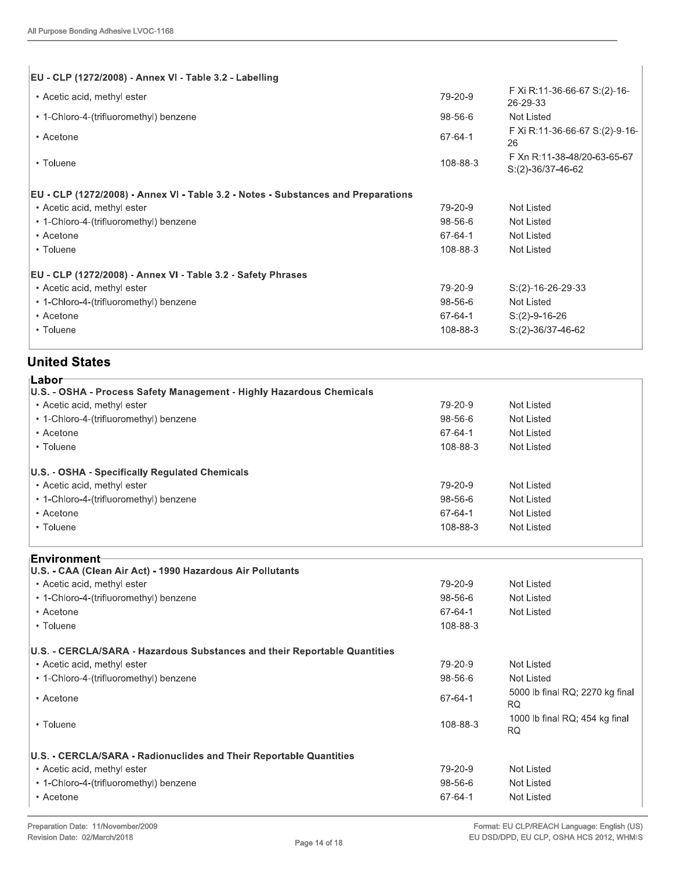| Not Listed<br>Not Listed<br>Not Listed<br>Not Listed<br>$S:(2)-16-26-29-33$<br>Not Listed |
|-------------------------------------------------------------------------------------------|
|                                                                                           |
|                                                                                           |
|                                                                                           |
|                                                                                           |
|                                                                                           |
|                                                                                           |
| S:(2)-36/37-46-62                                                                         |
| F Xn R:11-38-48/20-63-65-67                                                               |
| F Xi R:11-36-66-67 S:(2)-9-16-                                                            |
| Not Listed                                                                                |
| F Xi R:11-36-66-67 S:(2)-16-<br>26-29-33                                                  |
|                                                                                           |

# United States

| • Acetone                                                            | 67-64-1  | $S:(2)-9-16-26$     |
|----------------------------------------------------------------------|----------|---------------------|
| • Toluene                                                            | 108-88-3 | $S:(2)-36/37-46-62$ |
| <b>United States</b>                                                 |          |                     |
| ⊺Labor <sup>.</sup>                                                  |          |                     |
| U.S. - OSHA - Process Safety Management - Highly Hazardous Chemicals |          |                     |
| • Acetic acid, methyl ester                                          | 79-20-9  | Not Listed          |
| • 1-Chloro-4-(trifluoromethyl) benzene                               | 98-56-6  | Not Listed          |
| • Acetone                                                            | 67-64-1  | <b>Not Listed</b>   |
| • Toluene                                                            | 108-88-3 | Not Listed          |
| U.S. - OSHA - Specifically Regulated Chemicals                       |          |                     |
| • Acetic acid, methyl ester                                          | 79-20-9  | <b>Not Listed</b>   |
| • 1-Chloro-4-(trifluoromethyl) benzene                               | 98-56-6  | Not Listed          |
| • Acetone                                                            | 67-64-1  | <b>Not Listed</b>   |
| • Toluene                                                            | 108-88-3 | Not Listed          |
| ⊦Environment                                                         |          |                     |
| U.S. - CAA (Clean Air Act) - 1990 Hazardous Air Pollutants           |          |                     |
| • Acetic acid, methyl ester                                          | 79-20-9  | Not Listed          |
| . 1 Chloro 1 (trifluoromathyl) honzono                               | QQFAA    | Not Lietod          |

| • 1-Chloro-4-(trifluoromethyl) benzene                                    | 98-56-6  | Not Listed                                   |
|---------------------------------------------------------------------------|----------|----------------------------------------------|
| • Acetone                                                                 | 67-64-1  | Not Listed                                   |
| • Toluene                                                                 | 108-88-3 | Not Listed                                   |
| <sub>⊦</sub> Environment                                                  |          |                                              |
| U.S. - CAA (Clean Air Act) - 1990 Hazardous Air Pollutants                |          |                                              |
| • Acetic acid, methyl ester                                               | 79-20-9  | Not Listed                                   |
| • 1-Chloro-4-(trifluoromethyl) benzene                                    | 98-56-6  | Not Listed                                   |
| • Acetone                                                                 | 67-64-1  | Not Listed                                   |
| • Toluene                                                                 | 108-88-3 |                                              |
| U.S. - CERCLA/SARA - Hazardous Substances and their Reportable Quantities |          |                                              |
| • Acetic acid, methyl ester                                               | 79-20-9  | Not Listed                                   |
| • 1-Chloro-4-(trifluoromethyl) benzene                                    | 98-56-6  | Not Listed                                   |
| • Acetone                                                                 | 67-64-1  | 5000 lb final RQ; 2270 kg final<br><b>RQ</b> |
| • Toluene                                                                 | 108-88-3 | 1000 lb final RQ; 454 kg final<br><b>RQ</b>  |
| U.S. - CERCLA/SARA - Radionuclides and Their Reportable Quantities        |          |                                              |
| • Acetic acid, methyl ester                                               | 79-20-9  | Not Listed                                   |
| • 1-Chloro-4-(trifluoromethyl) benzene                                    | 98-56-6  | Not Listed                                   |
| • Acetone                                                                 | 67-64-1  | Not Listed                                   |
| Preparation Date: 11/November/2009                                        |          | Format: EU CLP/REACH Language: English (US)  |
| Revision Date: 02/March/2018<br>Page 14 of 18                             |          | EU DSD/DPD, EU CLP, OSHA HCS 2012, WHMIS     |
|                                                                           |          |                                              |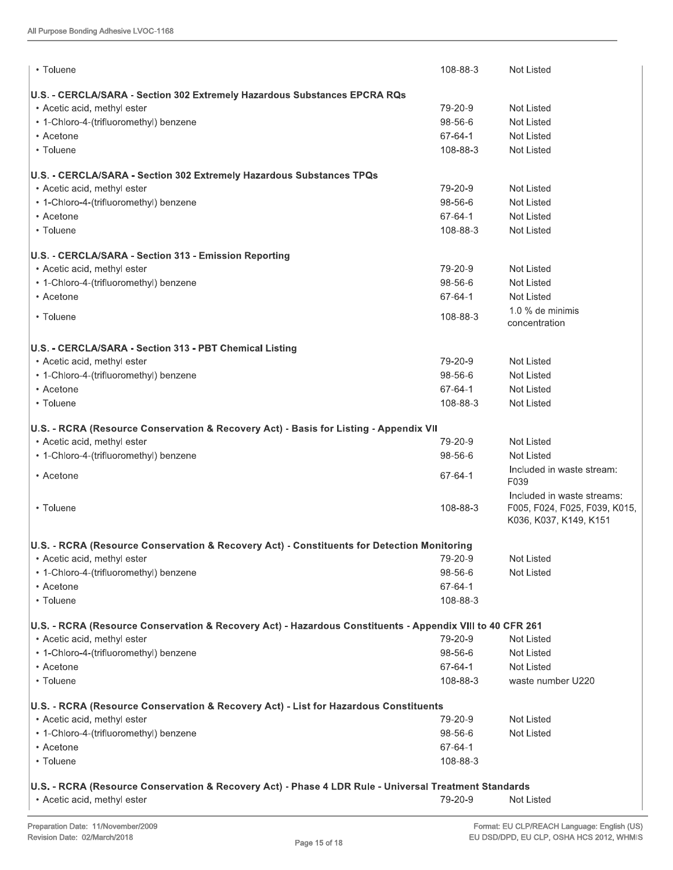| All Purpose Bonding Adhesive LVOC-1168                                                                    |          |                                                         |
|-----------------------------------------------------------------------------------------------------------|----------|---------------------------------------------------------|
| • Toluene                                                                                                 | 108-88-3 | Not Listed                                              |
|                                                                                                           |          |                                                         |
| U.S. - CERCLA/SARA - Section 302 Extremely Hazardous Substances EPCRA RQs                                 |          |                                                         |
| • Acetic acid, methyl ester                                                                               | 79-20-9  | <b>Not Listed</b>                                       |
| • 1-Chloro-4-(trifluoromethyl) benzene                                                                    | 98-56-6  | <b>Not Listed</b>                                       |
| • Acetone                                                                                                 | 67-64-1  | <b>Not Listed</b>                                       |
| • Toluene                                                                                                 | 108-88-3 | <b>Not Listed</b>                                       |
| U.S. - CERCLA/SARA - Section 302 Extremely Hazardous Substances TPQs                                      |          |                                                         |
| • Acetic acid, methyl ester                                                                               | 79-20-9  | Not Listed                                              |
| • 1-Chloro-4-(trifluoromethyl) benzene                                                                    | 98-56-6  | <b>Not Listed</b>                                       |
| • Acetone                                                                                                 | 67-64-1  | <b>Not Listed</b>                                       |
| • Toluene                                                                                                 | 108-88-3 | <b>Not Listed</b>                                       |
| U.S. - CERCLA/SARA - Section 313 - Emission Reporting                                                     |          |                                                         |
| • Acetic acid, methyl ester                                                                               | 79-20-9  | <b>Not Listed</b>                                       |
| • 1-Chloro-4-(trifluoromethyl) benzene                                                                    | 98-56-6  | <b>Not Listed</b>                                       |
| • Acetone                                                                                                 | 67-64-1  | <b>Not Listed</b>                                       |
|                                                                                                           |          | 1.0 % de minimis                                        |
| • Toluene                                                                                                 | 108-88-3 | concentration                                           |
| U.S. - CERCLA/SARA - Section 313 - PBT Chemical Listing                                                   |          |                                                         |
| • Acetic acid, methyl ester                                                                               | 79-20-9  | <b>Not Listed</b>                                       |
| • 1-Chloro-4-(trifluoromethyl) benzene                                                                    | 98-56-6  | <b>Not Listed</b>                                       |
| • Acetone                                                                                                 | 67-64-1  | <b>Not Listed</b>                                       |
| • Toluene                                                                                                 | 108-88-3 | <b>Not Listed</b>                                       |
| U.S. - RCRA (Resource Conservation & Recovery Act) - Basis for Listing - Appendix VII                     |          |                                                         |
| • Acetic acid, methyl ester                                                                               | 79-20-9  | <b>Not Listed</b>                                       |
| • 1-Chloro-4-(trifluoromethyl) benzene                                                                    | 98-56-6  | <b>Not Listed</b>                                       |
| • Acetone                                                                                                 | 67-64-1  | Included in waste stream:<br>F039                       |
|                                                                                                           |          | Included in waste streams:                              |
| • Toluene                                                                                                 | 108-88-3 | F005, F024, F025, F039, K015,<br>K036, K037, K149, K151 |
| U.S. - RCRA (Resource Conservation & Recovery Act) - Constituents for Detection Monitoring                |          |                                                         |
| • Acetic acid, methyl ester                                                                               | 79-20-9  | Not Listed                                              |
| • 1-Chloro-4-(trifluoromethyl) benzene                                                                    | 98-56-6  | Not Listed                                              |
| • Acetone                                                                                                 | 67-64-1  |                                                         |
| • Toluene                                                                                                 | 108-88-3 |                                                         |
| U.S. - RCRA (Resource Conservation & Recovery Act) - Hazardous Constituents - Appendix VIII to 40 CFR 261 |          |                                                         |
| • Acetic acid, methyl ester                                                                               | 79-20-9  | Not Listed                                              |
| • 1-Chloro-4-(trifluoromethyl) benzene                                                                    | 98-56-6  | Not Listed                                              |
| • Acetone                                                                                                 | 67-64-1  | <b>Not Listed</b>                                       |
| • Toluene                                                                                                 | 108-88-3 | waste number U220                                       |
| U.S. - RCRA (Resource Conservation & Recovery Act) - List for Hazardous Constituents                      |          |                                                         |
| • Acetic acid, methyl ester                                                                               | 79-20-9  | Not Listed                                              |
| • 1-Chloro-4-(trifluoromethyl) benzene                                                                    | 98-56-6  | <b>Not Listed</b>                                       |
| • Acetone                                                                                                 | 67-64-1  |                                                         |
| • Toluene                                                                                                 | 108-88-3 |                                                         |
| U.S. - RCRA (Resource Conservation & Recovery Act) - Phase 4 LDR Rule - Universal Treatment Standards     |          |                                                         |
| • Acetic acid, methyl ester                                                                               | 79-20-9  | Not Listed                                              |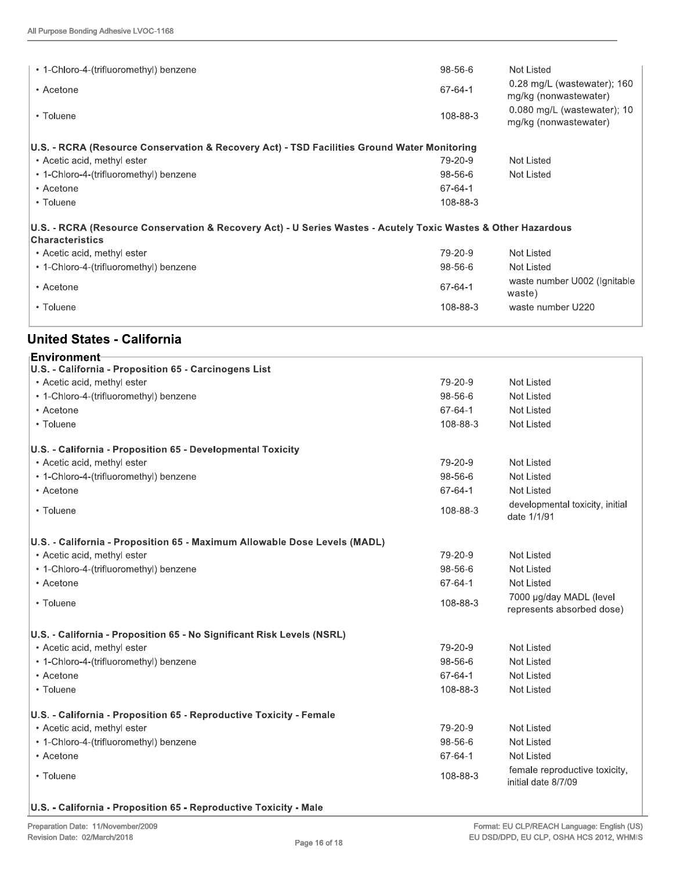|                                                                                                               | Not Listed                                             |
|---------------------------------------------------------------------------------------------------------------|--------------------------------------------------------|
| 67-64-1                                                                                                       | $0.28$ mg/L (wastewater); 160<br>mg/kg (nonwastewater) |
| 108-88-3                                                                                                      | $0.080$ mg/L (wastewater); 10<br>mg/kg (nonwastewater) |
| U.S. - RCRA (Resource Conservation & Recovery Act) - TSD Facilities Ground Water Monitoring                   |                                                        |
| 79-20-9                                                                                                       | Not Listed                                             |
| 98-56-6                                                                                                       | Not Listed                                             |
| 67-64-1                                                                                                       |                                                        |
| 108-88-3                                                                                                      |                                                        |
| U.S. - RCRA (Resource Conservation & Recovery Act) - U Series Wastes - Acutely Toxic Wastes & Other Hazardous |                                                        |
| 79-20-9                                                                                                       | Not Listed                                             |
| 98-56-6                                                                                                       | <b>Not Listed</b>                                      |
| 67-64-1                                                                                                       | waste number U002 (Ignitable<br>waste)                 |
| 108-88-3                                                                                                      | waste number U220                                      |
|                                                                                                               |                                                        |

### United States - California

| <b>Environment-</b>                                                       |          |                                                      |
|---------------------------------------------------------------------------|----------|------------------------------------------------------|
| U.S. - California - Proposition 65 - Carcinogens List                     |          |                                                      |
| • Acetic acid, methyl ester                                               | 79-20-9  | Not Listed                                           |
| • 1-Chloro-4-(trifluoromethyl) benzene                                    | 98-56-6  | <b>Not Listed</b>                                    |
| • Acetone                                                                 | 67-64-1  | Not Listed                                           |
| • Toluene                                                                 | 108-88-3 | Not Listed                                           |
| U.S. - California - Proposition 65 - Developmental Toxicity               |          |                                                      |
| • Acetic acid, methyl ester                                               | 79-20-9  | Not Listed                                           |
| • 1-Chloro-4-(trifluoromethyl) benzene                                    | 98-56-6  | Not Listed                                           |
| • Acetone                                                                 | 67-64-1  | Not Listed                                           |
| • Toluene                                                                 | 108-88-3 | developmental toxicity, initial<br>date 1/1/91       |
| U.S. - California - Proposition 65 - Maximum Allowable Dose Levels (MADL) |          |                                                      |
| • Acetic acid, methyl ester                                               | 79-20-9  | Not Listed                                           |
| • 1-Chloro-4-(trifluoromethyl) benzene                                    | 98-56-6  | Not Listed                                           |
| • Acetone                                                                 | 67-64-1  | <b>Not Listed</b>                                    |
| • Toluene                                                                 | 108-88-3 | 7000 µg/day MADL (level<br>represents absorbed dose) |
| U.S. - California - Proposition 65 - No Significant Risk Levels (NSRL)    |          |                                                      |
| • Acetic acid, methyl ester                                               | 79-20-9  | <b>Not Listed</b>                                    |
| • 1-Chloro-4-(trifluoromethyl) benzene                                    | 98-56-6  | Not Listed                                           |
| • Acetone                                                                 | 67-64-1  | Not Listed                                           |
| • Toluene                                                                 | 108-88-3 | Not Listed                                           |
| U.S. - California - Proposition 65 - Reproductive Toxicity - Female       |          |                                                      |
| • Acetic acid, methyl ester                                               | 79-20-9  | <b>Not Listed</b>                                    |
| • 1-Chloro-4-(trifluoromethyl) benzene                                    | 98-56-6  | Not Listed                                           |
| • Acetone                                                                 | 67-64-1  | Not Listed                                           |
| • Toluene                                                                 | 108-88-3 | female reproductive toxicity,<br>initial date 8/7/09 |

#### U.S. - California - Proposition 65 - Reproductive Toxicity - Male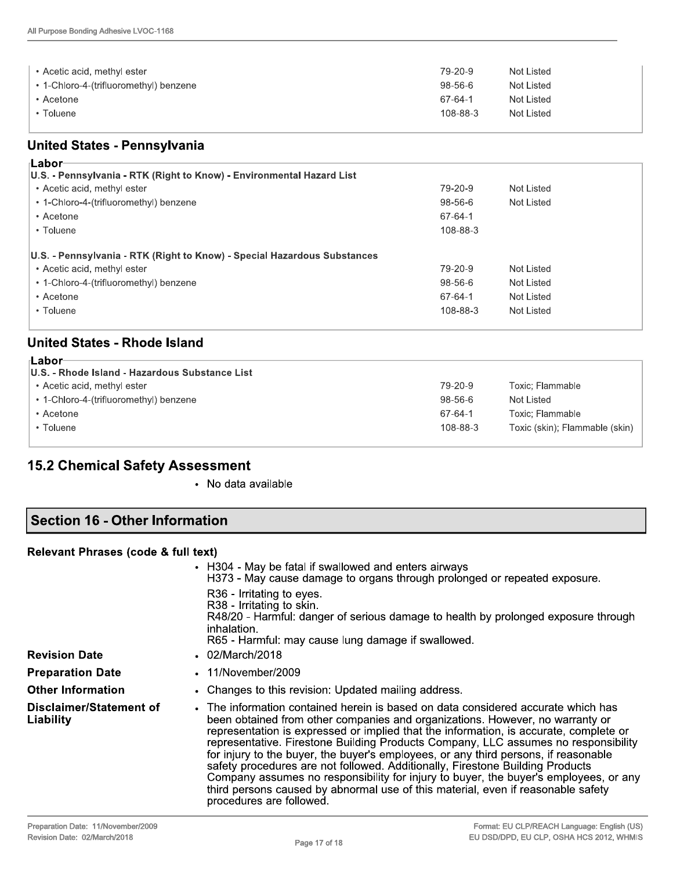| • Acetic acid, methyl ester<br>• 1-Chloro-4-(trifluoromethyl) benzene | 79-20-9<br>$98 - 56 - 6$ | Not Listed<br>Not Listed |
|-----------------------------------------------------------------------|--------------------------|--------------------------|
| Acetone <sup>,</sup>                                                  | 67-64-1                  | Not Listed               |
| Toluene                                                               | 108-88-3                 | Not Listed               |

| • Acetic acid, methyl ester                                              | 79-20-9  | Not Listed                     |
|--------------------------------------------------------------------------|----------|--------------------------------|
| • 1-Chloro-4-(trifluoromethyl) benzene                                   | 98-56-6  | Not Listed                     |
| • Acetone                                                                | 67-64-1  | <b>Not Listed</b>              |
| • Toluene                                                                | 108-88-3 | Not Listed                     |
| <b>United States - Pennsylvania</b>                                      |          |                                |
| <b>Labor-</b>                                                            |          |                                |
| U.S. - Pennsylvania - RTK (Right to Know) - Environmental Hazard List    |          |                                |
| • Acetic acid, methyl ester                                              | 79-20-9  | Not Listed                     |
| • 1-Chloro-4-(trifluoromethyl) benzene                                   | 98-56-6  | <b>Not Listed</b>              |
| • Acetone                                                                | 67-64-1  |                                |
| • Toluene                                                                | 108-88-3 |                                |
| U.S. - Pennsylvania - RTK (Right to Know) - Special Hazardous Substances |          |                                |
| • Acetic acid, methyl ester                                              | 79-20-9  | Not Listed                     |
| • 1-Chloro-4-(trifluoromethyl) benzene                                   | 98-56-6  | Not Listed                     |
| • Acetone                                                                | 67-64-1  | Not Listed                     |
| • Toluene                                                                | 108-88-3 | Not Listed                     |
| <b>United States - Rhode Island</b>                                      |          |                                |
| ⊦Labor                                                                   |          |                                |
| U.S. - Rhode Island - Hazardous Substance List                           |          |                                |
| • Acetic acid, methyl ester                                              | 79-20-9  | Toxic; Flammable               |
| • 1-Chloro-4-(trifluoromethyl) benzene                                   | 98-56-6  | Not Listed                     |
| • Acetone                                                                | 67-64-1  | Toxic; Flammable               |
| • Toluene                                                                | 108-88-3 | Toxic (skin); Flammable (skin) |

| r∟apor                                         |               |                                |
|------------------------------------------------|---------------|--------------------------------|
| U.S. - Rhode Island - Hazardous Substance List |               |                                |
| • Acetic acid, methyl ester                    | 79-20-9       | Toxic: Flammable               |
| • 1-Chloro-4-(trifluoromethyl) benzene         | $98 - 56 - 6$ | Not Listed                     |
| • Acetone                                      | 67-64-1       | Toxic; Flammable               |
| • Toluene                                      | 108-88-3      | Toxic (skin); Flammable (skin) |
|                                                |               |                                |

# 15.2 Chemical Safety Assessment

• No data available

# Section 16 - Other Information

#### Relevant Phrases (code & full text)

| <b>Revision Date</b>                 | • H304 - May be fatal if swallowed and enters airways<br>H373 - May cause damage to organs through prolonged or repeated exposure.<br>R36 - Irritating to eyes.<br>R38 - Irritating to skin.<br>R48/20 - Harmful: danger of serious damage to health by prolonged exposure through<br>inhalation.<br>R65 - Harmful: may cause lung damage if swallowed.<br>$.02$ /March/2018                                                                                                                                                                                                                                                                                                                                                      |
|--------------------------------------|-----------------------------------------------------------------------------------------------------------------------------------------------------------------------------------------------------------------------------------------------------------------------------------------------------------------------------------------------------------------------------------------------------------------------------------------------------------------------------------------------------------------------------------------------------------------------------------------------------------------------------------------------------------------------------------------------------------------------------------|
| <b>Preparation Date</b>              | $\cdot$ 11/November/2009                                                                                                                                                                                                                                                                                                                                                                                                                                                                                                                                                                                                                                                                                                          |
| <b>Other Information</b>             | • Changes to this revision: Updated mailing address.                                                                                                                                                                                                                                                                                                                                                                                                                                                                                                                                                                                                                                                                              |
| Disclaimer/Statement of<br>Liability | • The information contained herein is based on data considered accurate which has<br>been obtained from other companies and organizations. However, no warranty or<br>representation is expressed or implied that the information, is accurate, complete or<br>representative. Firestone Building Products Company, LLC assumes no responsibility<br>for injury to the buyer, the buyer's employees, or any third persons, if reasonable<br>safety procedures are not followed. Additionally, Firestone Building Products<br>Company assumes no responsibility for injury to buyer, the buyer's employees, or any<br>third persons caused by abnormal use of this material, even if reasonable safety<br>procedures are followed. |